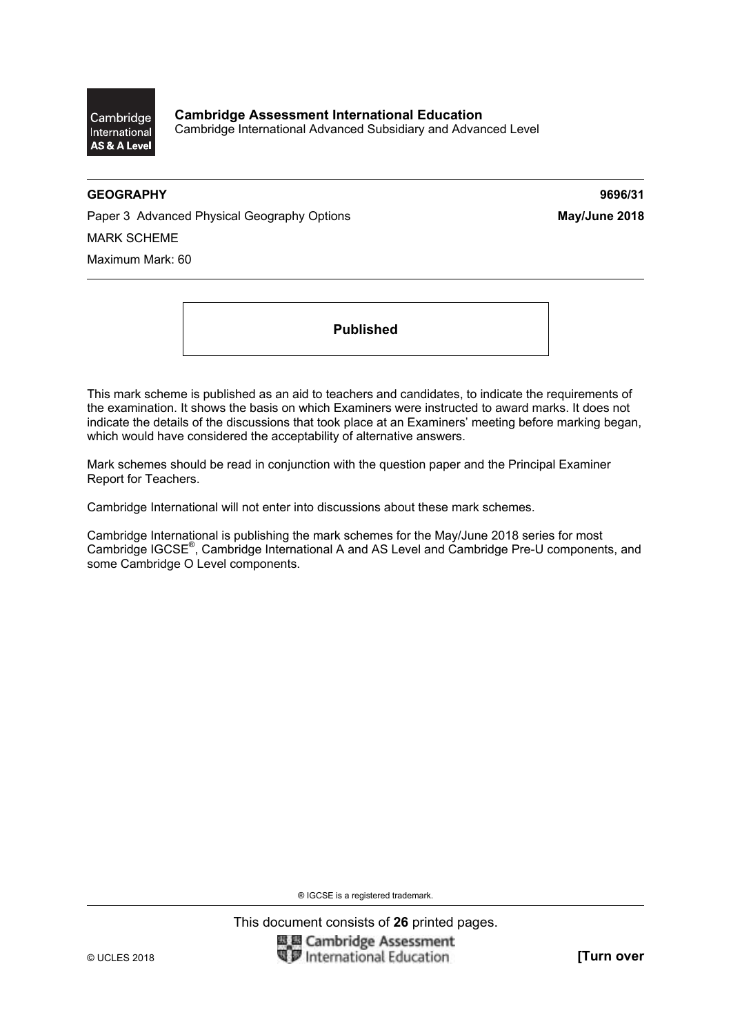Cambridge International AS & A Level

**Cambridge Assessment International Education**  Cambridge International Advanced Subsidiary and Advanced Level

#### **GEOGRAPHY 9696/31**

Paper 3 Advanced Physical Geography Options **May/June 2018** MARK SCHEME Maximum Mark: 60

**Published** 

This mark scheme is published as an aid to teachers and candidates, to indicate the requirements of the examination. It shows the basis on which Examiners were instructed to award marks. It does not indicate the details of the discussions that took place at an Examiners' meeting before marking began, which would have considered the acceptability of alternative answers.

Mark schemes should be read in conjunction with the question paper and the Principal Examiner Report for Teachers.

Cambridge International will not enter into discussions about these mark schemes.

Cambridge International is publishing the mark schemes for the May/June 2018 series for most Cambridge IGCSE®, Cambridge International A and AS Level and Cambridge Pre-U components, and some Cambridge O Level components.

® IGCSE is a registered trademark.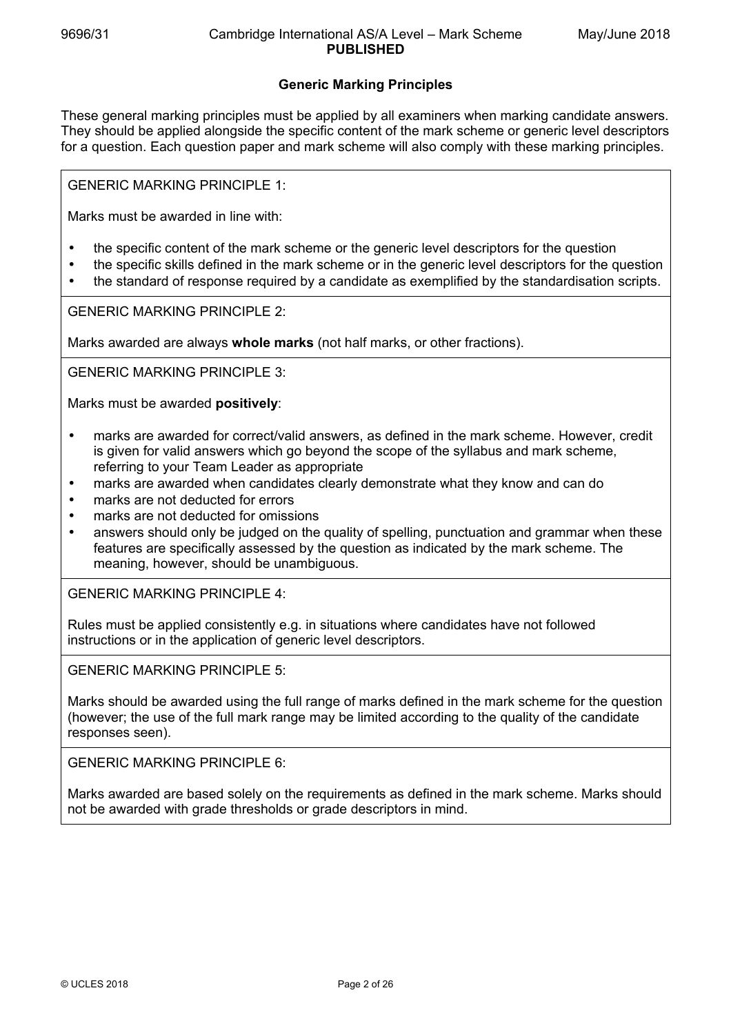## **Generic Marking Principles**

These general marking principles must be applied by all examiners when marking candidate answers. They should be applied alongside the specific content of the mark scheme or generic level descriptors for a question. Each question paper and mark scheme will also comply with these marking principles.

GENERIC MARKING PRINCIPLE 1:

Marks must be awarded in line with:

- the specific content of the mark scheme or the generic level descriptors for the question
- the specific skills defined in the mark scheme or in the generic level descriptors for the question
- the standard of response required by a candidate as exemplified by the standardisation scripts.

GENERIC MARKING PRINCIPLE 2:

Marks awarded are always **whole marks** (not half marks, or other fractions).

GENERIC MARKING PRINCIPLE 3:

Marks must be awarded **positively**:

- marks are awarded for correct/valid answers, as defined in the mark scheme. However, credit is given for valid answers which go beyond the scope of the syllabus and mark scheme, referring to your Team Leader as appropriate
- marks are awarded when candidates clearly demonstrate what they know and can do
- marks are not deducted for errors
- marks are not deducted for omissions
- answers should only be judged on the quality of spelling, punctuation and grammar when these features are specifically assessed by the question as indicated by the mark scheme. The meaning, however, should be unambiguous.

GENERIC MARKING PRINCIPLE 4:

Rules must be applied consistently e.g. in situations where candidates have not followed instructions or in the application of generic level descriptors.

GENERIC MARKING PRINCIPLE 5:

Marks should be awarded using the full range of marks defined in the mark scheme for the question (however; the use of the full mark range may be limited according to the quality of the candidate responses seen).

GENERIC MARKING PRINCIPLE 6:

Marks awarded are based solely on the requirements as defined in the mark scheme. Marks should not be awarded with grade thresholds or grade descriptors in mind.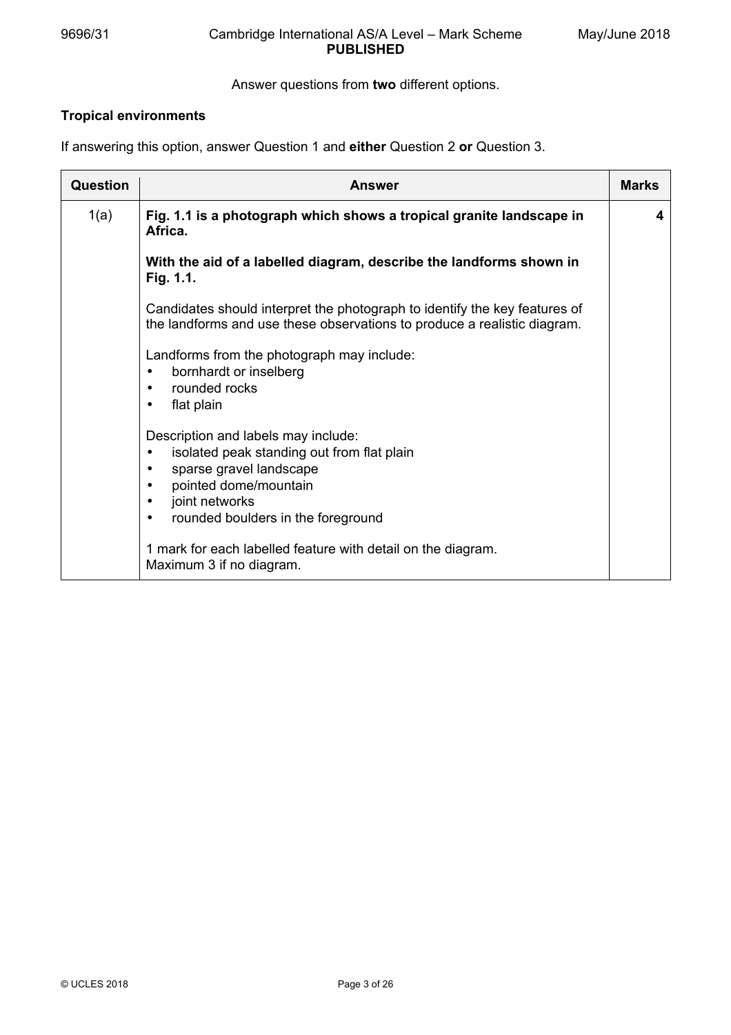### 9696/31 Cambridge International AS/A Level – Mark Scheme **PUBLISHED**

### Answer questions from **two** different options.

# **Tropical environments**

If answering this option, answer Question 1 and **either** Question 2 **or** Question 3.

| <b>Question</b> | <b>Answer</b>                                                                                                                                                                                                                                                                                                                  | <b>Marks</b> |
|-----------------|--------------------------------------------------------------------------------------------------------------------------------------------------------------------------------------------------------------------------------------------------------------------------------------------------------------------------------|--------------|
| 1(a)            | Fig. 1.1 is a photograph which shows a tropical granite landscape in<br>Africa.                                                                                                                                                                                                                                                | 4            |
|                 | With the aid of a labelled diagram, describe the landforms shown in<br>Fig. 1.1.                                                                                                                                                                                                                                               |              |
|                 | Candidates should interpret the photograph to identify the key features of<br>the landforms and use these observations to produce a realistic diagram.                                                                                                                                                                         |              |
|                 | Landforms from the photograph may include:<br>bornhardt or inselberg<br>٠<br>rounded rocks<br>$\bullet$<br>flat plain<br>٠                                                                                                                                                                                                     |              |
|                 | Description and labels may include:<br>isolated peak standing out from flat plain<br>$\bullet$<br>sparse gravel landscape<br>$\bullet$<br>pointed dome/mountain<br>$\bullet$<br>joint networks<br>$\bullet$<br>rounded boulders in the foreground<br>$\bullet$<br>1 mark for each labelled feature with detail on the diagram. |              |
|                 | Maximum 3 if no diagram.                                                                                                                                                                                                                                                                                                       |              |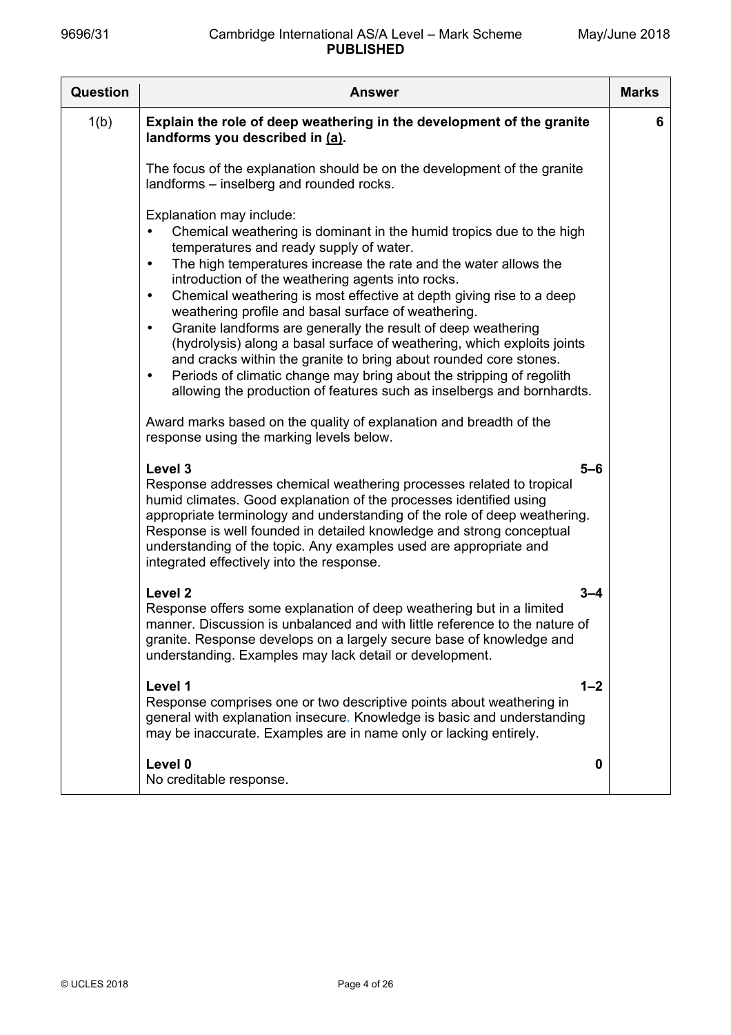| <b>Question</b> | <b>Answer</b>                                                                                                                                                                                                                                                                                                                                                                                                                                                                                                                                                                                                                                                                                                                                                                                                              | <b>Marks</b> |
|-----------------|----------------------------------------------------------------------------------------------------------------------------------------------------------------------------------------------------------------------------------------------------------------------------------------------------------------------------------------------------------------------------------------------------------------------------------------------------------------------------------------------------------------------------------------------------------------------------------------------------------------------------------------------------------------------------------------------------------------------------------------------------------------------------------------------------------------------------|--------------|
| 1(b)            | Explain the role of deep weathering in the development of the granite<br>landforms you described in (a).                                                                                                                                                                                                                                                                                                                                                                                                                                                                                                                                                                                                                                                                                                                   | 6            |
|                 | The focus of the explanation should be on the development of the granite<br>landforms – inselberg and rounded rocks.                                                                                                                                                                                                                                                                                                                                                                                                                                                                                                                                                                                                                                                                                                       |              |
|                 | Explanation may include:<br>Chemical weathering is dominant in the humid tropics due to the high<br>temperatures and ready supply of water.<br>The high temperatures increase the rate and the water allows the<br>$\bullet$<br>introduction of the weathering agents into rocks.<br>Chemical weathering is most effective at depth giving rise to a deep<br>$\bullet$<br>weathering profile and basal surface of weathering.<br>Granite landforms are generally the result of deep weathering<br>$\bullet$<br>(hydrolysis) along a basal surface of weathering, which exploits joints<br>and cracks within the granite to bring about rounded core stones.<br>Periods of climatic change may bring about the stripping of regolith<br>$\bullet$<br>allowing the production of features such as inselbergs and bornhardts. |              |
|                 | Award marks based on the quality of explanation and breadth of the<br>response using the marking levels below.                                                                                                                                                                                                                                                                                                                                                                                                                                                                                                                                                                                                                                                                                                             |              |
|                 | Level 3<br>$5 - 6$<br>Response addresses chemical weathering processes related to tropical<br>humid climates. Good explanation of the processes identified using<br>appropriate terminology and understanding of the role of deep weathering.<br>Response is well founded in detailed knowledge and strong conceptual<br>understanding of the topic. Any examples used are appropriate and<br>integrated effectively into the response.                                                                                                                                                                                                                                                                                                                                                                                    |              |
|                 | Level <sub>2</sub><br>$3 - 4$<br>Response offers some explanation of deep weathering but in a limited<br>manner. Discussion is unbalanced and with little reference to the nature of<br>granite. Response develops on a largely secure base of knowledge and<br>understanding. Examples may lack detail or development.                                                                                                                                                                                                                                                                                                                                                                                                                                                                                                    |              |
|                 | Level 1<br>$1 - 2$<br>Response comprises one or two descriptive points about weathering in<br>general with explanation insecure. Knowledge is basic and understanding<br>may be inaccurate. Examples are in name only or lacking entirely.                                                                                                                                                                                                                                                                                                                                                                                                                                                                                                                                                                                 |              |
|                 | Level 0<br>0<br>No creditable response.                                                                                                                                                                                                                                                                                                                                                                                                                                                                                                                                                                                                                                                                                                                                                                                    |              |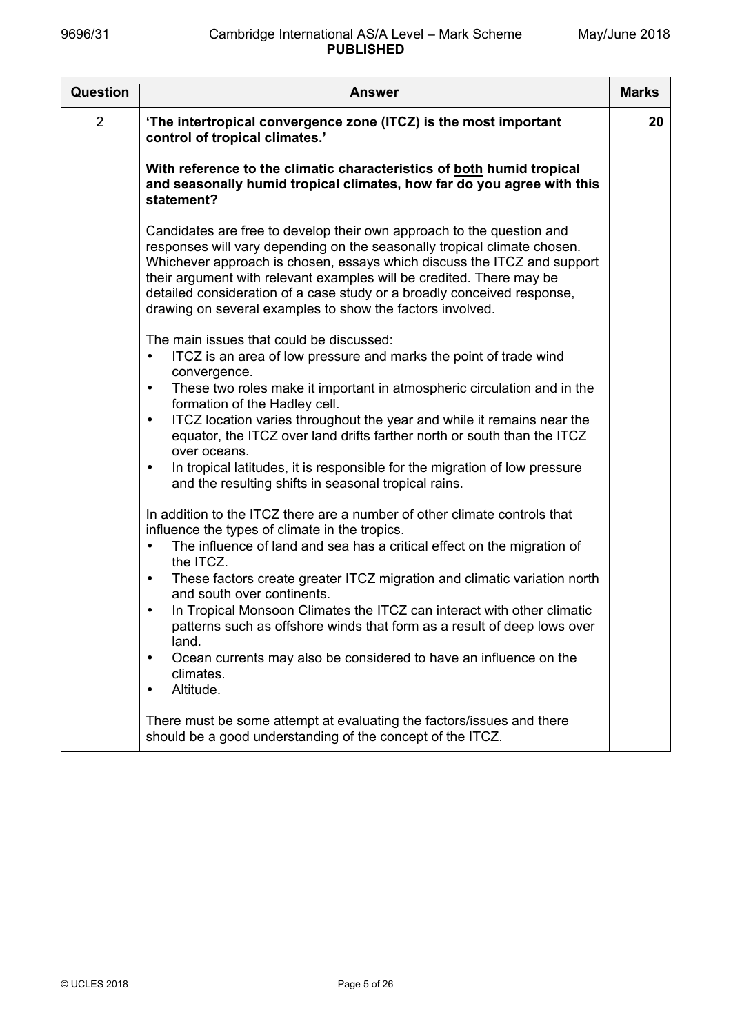| Question       | <b>Answer</b>                                                                                                                                                                                                                                                                                                                                                                                                                                                                                                                                                                                                                                                                                                                                                                                                                                                                                                                                                                                                                                                                                                                                                                                                                                                           | <b>Marks</b> |
|----------------|-------------------------------------------------------------------------------------------------------------------------------------------------------------------------------------------------------------------------------------------------------------------------------------------------------------------------------------------------------------------------------------------------------------------------------------------------------------------------------------------------------------------------------------------------------------------------------------------------------------------------------------------------------------------------------------------------------------------------------------------------------------------------------------------------------------------------------------------------------------------------------------------------------------------------------------------------------------------------------------------------------------------------------------------------------------------------------------------------------------------------------------------------------------------------------------------------------------------------------------------------------------------------|--------------|
| $\overline{2}$ | 'The intertropical convergence zone (ITCZ) is the most important<br>control of tropical climates.'                                                                                                                                                                                                                                                                                                                                                                                                                                                                                                                                                                                                                                                                                                                                                                                                                                                                                                                                                                                                                                                                                                                                                                      | 20           |
|                | With reference to the climatic characteristics of both humid tropical<br>and seasonally humid tropical climates, how far do you agree with this<br>statement?                                                                                                                                                                                                                                                                                                                                                                                                                                                                                                                                                                                                                                                                                                                                                                                                                                                                                                                                                                                                                                                                                                           |              |
|                | Candidates are free to develop their own approach to the question and<br>responses will vary depending on the seasonally tropical climate chosen.<br>Whichever approach is chosen, essays which discuss the ITCZ and support<br>their argument with relevant examples will be credited. There may be<br>detailed consideration of a case study or a broadly conceived response,<br>drawing on several examples to show the factors involved.                                                                                                                                                                                                                                                                                                                                                                                                                                                                                                                                                                                                                                                                                                                                                                                                                            |              |
|                | The main issues that could be discussed:<br>ITCZ is an area of low pressure and marks the point of trade wind<br>$\bullet$<br>convergence.<br>These two roles make it important in atmospheric circulation and in the<br>$\bullet$<br>formation of the Hadley cell.<br>ITCZ location varies throughout the year and while it remains near the<br>$\bullet$<br>equator, the ITCZ over land drifts farther north or south than the ITCZ<br>over oceans.<br>In tropical latitudes, it is responsible for the migration of low pressure<br>$\bullet$<br>and the resulting shifts in seasonal tropical rains.<br>In addition to the ITCZ there are a number of other climate controls that<br>influence the types of climate in the tropics.<br>The influence of land and sea has a critical effect on the migration of<br>$\bullet$<br>the ITCZ.<br>These factors create greater ITCZ migration and climatic variation north<br>$\bullet$<br>and south over continents.<br>In Tropical Monsoon Climates the ITCZ can interact with other climatic<br>$\bullet$<br>patterns such as offshore winds that form as a result of deep lows over<br>land.<br>Ocean currents may also be considered to have an influence on the<br>$\bullet$<br>climates.<br>Altitude.<br>$\bullet$ |              |
|                | There must be some attempt at evaluating the factors/issues and there<br>should be a good understanding of the concept of the ITCZ.                                                                                                                                                                                                                                                                                                                                                                                                                                                                                                                                                                                                                                                                                                                                                                                                                                                                                                                                                                                                                                                                                                                                     |              |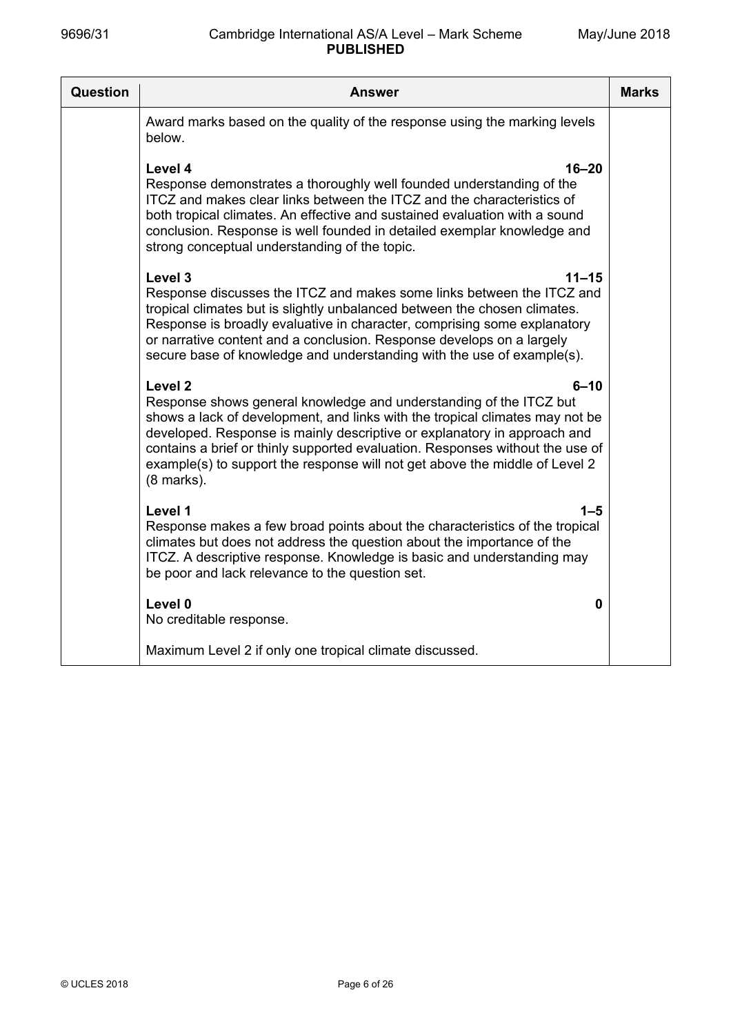| Question<br><b>Answer</b>                                                                                                                                                                                                                                                                                                                                                                                                                        | <b>Marks</b> |
|--------------------------------------------------------------------------------------------------------------------------------------------------------------------------------------------------------------------------------------------------------------------------------------------------------------------------------------------------------------------------------------------------------------------------------------------------|--------------|
| Award marks based on the quality of the response using the marking levels<br>below.                                                                                                                                                                                                                                                                                                                                                              |              |
| Level 4<br>$16 - 20$<br>Response demonstrates a thoroughly well founded understanding of the<br>ITCZ and makes clear links between the ITCZ and the characteristics of<br>both tropical climates. An effective and sustained evaluation with a sound<br>conclusion. Response is well founded in detailed exemplar knowledge and<br>strong conceptual understanding of the topic.                                                                 |              |
| Level 3<br>$11 - 15$<br>Response discusses the ITCZ and makes some links between the ITCZ and<br>tropical climates but is slightly unbalanced between the chosen climates.<br>Response is broadly evaluative in character, comprising some explanatory<br>or narrative content and a conclusion. Response develops on a largely<br>secure base of knowledge and understanding with the use of example(s).                                        |              |
| Level <sub>2</sub><br>$6 - 10$<br>Response shows general knowledge and understanding of the ITCZ but<br>shows a lack of development, and links with the tropical climates may not be<br>developed. Response is mainly descriptive or explanatory in approach and<br>contains a brief or thinly supported evaluation. Responses without the use of<br>example(s) to support the response will not get above the middle of Level 2<br>$(8$ marks). |              |
| Level 1<br>1–5<br>Response makes a few broad points about the characteristics of the tropical<br>climates but does not address the question about the importance of the<br>ITCZ. A descriptive response. Knowledge is basic and understanding may<br>be poor and lack relevance to the question set.                                                                                                                                             |              |
| Level 0<br>0<br>No creditable response.                                                                                                                                                                                                                                                                                                                                                                                                          |              |
| Maximum Level 2 if only one tropical climate discussed.                                                                                                                                                                                                                                                                                                                                                                                          |              |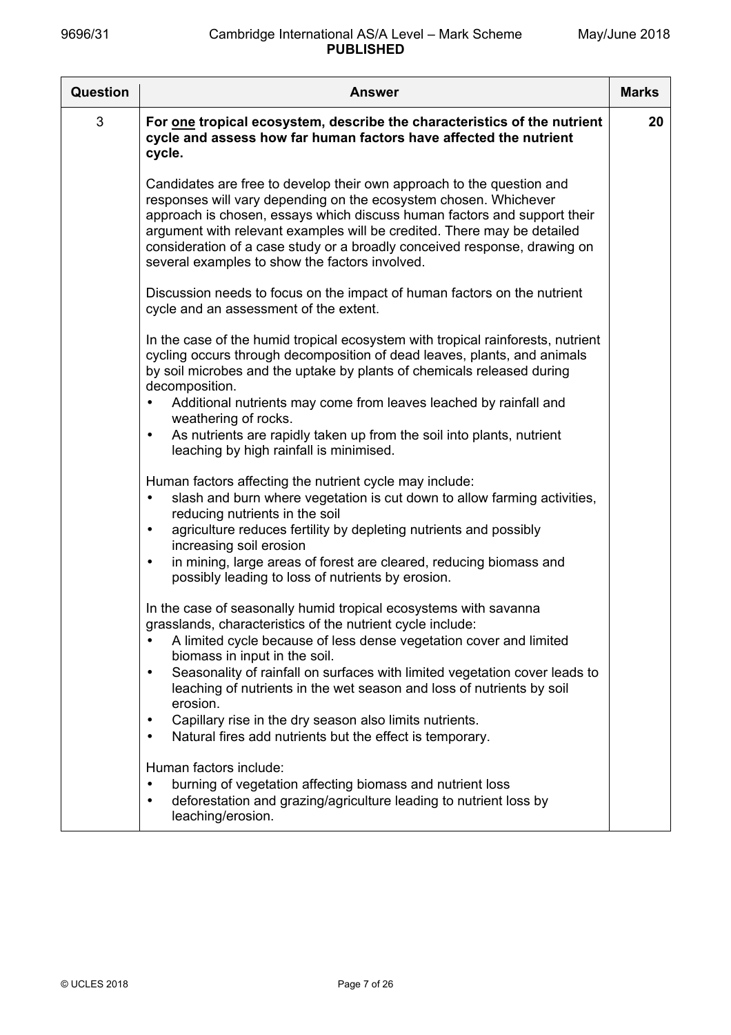| <b>Question</b> | <b>Answer</b>                                                                                                                                                                                                                                                                                                                                                                                                                   | <b>Marks</b> |
|-----------------|---------------------------------------------------------------------------------------------------------------------------------------------------------------------------------------------------------------------------------------------------------------------------------------------------------------------------------------------------------------------------------------------------------------------------------|--------------|
| 3               | For one tropical ecosystem, describe the characteristics of the nutrient<br>cycle and assess how far human factors have affected the nutrient<br>cycle.                                                                                                                                                                                                                                                                         | 20           |
|                 | Candidates are free to develop their own approach to the question and<br>responses will vary depending on the ecosystem chosen. Whichever<br>approach is chosen, essays which discuss human factors and support their<br>argument with relevant examples will be credited. There may be detailed<br>consideration of a case study or a broadly conceived response, drawing on<br>several examples to show the factors involved. |              |
|                 | Discussion needs to focus on the impact of human factors on the nutrient<br>cycle and an assessment of the extent.                                                                                                                                                                                                                                                                                                              |              |
|                 | In the case of the humid tropical ecosystem with tropical rainforests, nutrient<br>cycling occurs through decomposition of dead leaves, plants, and animals<br>by soil microbes and the uptake by plants of chemicals released during<br>decomposition.                                                                                                                                                                         |              |
|                 | Additional nutrients may come from leaves leached by rainfall and<br>$\bullet$<br>weathering of rocks.                                                                                                                                                                                                                                                                                                                          |              |
|                 | As nutrients are rapidly taken up from the soil into plants, nutrient<br>$\bullet$<br>leaching by high rainfall is minimised.                                                                                                                                                                                                                                                                                                   |              |
|                 | Human factors affecting the nutrient cycle may include:<br>slash and burn where vegetation is cut down to allow farming activities,<br>$\bullet$<br>reducing nutrients in the soil                                                                                                                                                                                                                                              |              |
|                 | agriculture reduces fertility by depleting nutrients and possibly<br>$\bullet$<br>increasing soil erosion                                                                                                                                                                                                                                                                                                                       |              |
|                 | in mining, large areas of forest are cleared, reducing biomass and<br>$\bullet$<br>possibly leading to loss of nutrients by erosion.                                                                                                                                                                                                                                                                                            |              |
|                 | In the case of seasonally humid tropical ecosystems with savanna<br>grasslands, characteristics of the nutrient cycle include:                                                                                                                                                                                                                                                                                                  |              |
|                 | A limited cycle because of less dense vegetation cover and limited<br>biomass in input in the soil.                                                                                                                                                                                                                                                                                                                             |              |
|                 | Seasonality of rainfall on surfaces with limited vegetation cover leads to<br>$\bullet$<br>leaching of nutrients in the wet season and loss of nutrients by soil<br>erosion.                                                                                                                                                                                                                                                    |              |
|                 | Capillary rise in the dry season also limits nutrients.<br>$\bullet$<br>Natural fires add nutrients but the effect is temporary.<br>$\bullet$                                                                                                                                                                                                                                                                                   |              |
|                 | Human factors include:<br>burning of vegetation affecting biomass and nutrient loss<br>$\bullet$<br>deforestation and grazing/agriculture leading to nutrient loss by<br>$\bullet$<br>leaching/erosion.                                                                                                                                                                                                                         |              |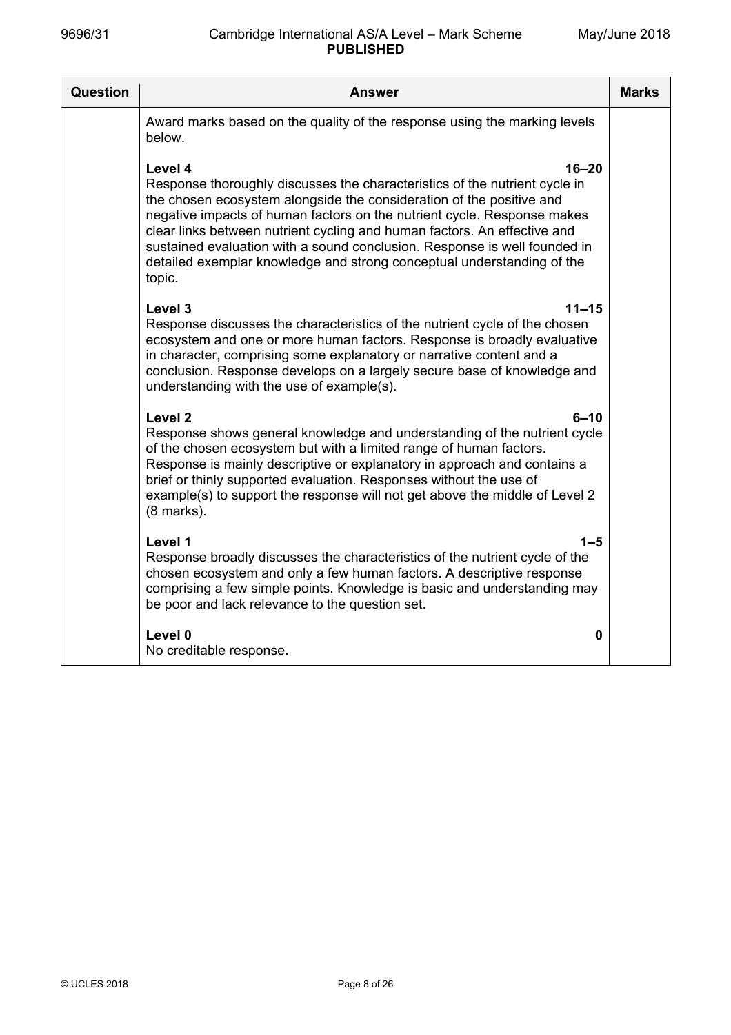| Question | Answer                                                                                                                                                                                                                                                                                                                                                                                                                                                                                             | <b>Marks</b> |
|----------|----------------------------------------------------------------------------------------------------------------------------------------------------------------------------------------------------------------------------------------------------------------------------------------------------------------------------------------------------------------------------------------------------------------------------------------------------------------------------------------------------|--------------|
|          | Award marks based on the quality of the response using the marking levels<br>below.                                                                                                                                                                                                                                                                                                                                                                                                                |              |
|          | Level 4<br>$16 - 20$<br>Response thoroughly discusses the characteristics of the nutrient cycle in<br>the chosen ecosystem alongside the consideration of the positive and<br>negative impacts of human factors on the nutrient cycle. Response makes<br>clear links between nutrient cycling and human factors. An effective and<br>sustained evaluation with a sound conclusion. Response is well founded in<br>detailed exemplar knowledge and strong conceptual understanding of the<br>topic. |              |
|          | Level 3<br>$11 - 15$<br>Response discusses the characteristics of the nutrient cycle of the chosen<br>ecosystem and one or more human factors. Response is broadly evaluative<br>in character, comprising some explanatory or narrative content and a<br>conclusion. Response develops on a largely secure base of knowledge and<br>understanding with the use of example(s).                                                                                                                      |              |
|          | Level <sub>2</sub><br>6–10<br>Response shows general knowledge and understanding of the nutrient cycle<br>of the chosen ecosystem but with a limited range of human factors.<br>Response is mainly descriptive or explanatory in approach and contains a<br>brief or thinly supported evaluation. Responses without the use of<br>example(s) to support the response will not get above the middle of Level 2<br>$(8$ marks).                                                                      |              |
|          | Level 1<br>1–5<br>Response broadly discusses the characteristics of the nutrient cycle of the<br>chosen ecosystem and only a few human factors. A descriptive response<br>comprising a few simple points. Knowledge is basic and understanding may<br>be poor and lack relevance to the question set.                                                                                                                                                                                              |              |
|          | Level 0<br>0<br>No creditable response.                                                                                                                                                                                                                                                                                                                                                                                                                                                            |              |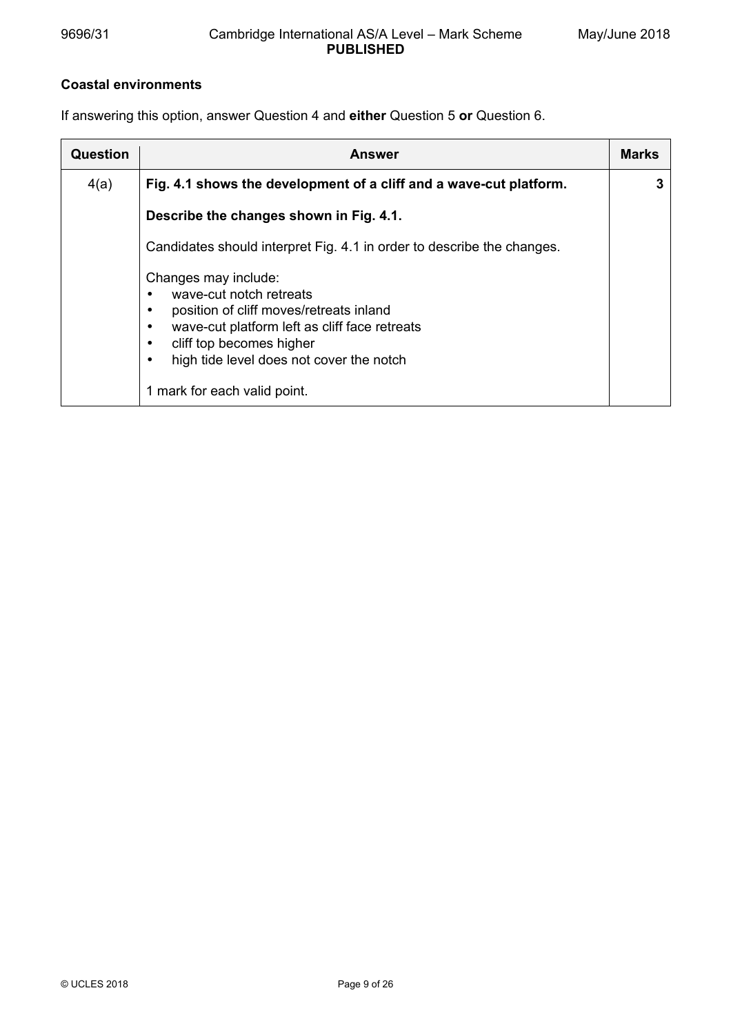# **Coastal environments**

If answering this option, answer Question 4 and **either** Question 5 **or** Question 6.

| <b>Question</b> | Answer                                                                                                                                                                                                                                              | <b>Marks</b> |
|-----------------|-----------------------------------------------------------------------------------------------------------------------------------------------------------------------------------------------------------------------------------------------------|--------------|
| 4(a)            | Fig. 4.1 shows the development of a cliff and a wave-cut platform.                                                                                                                                                                                  |              |
|                 | Describe the changes shown in Fig. 4.1.                                                                                                                                                                                                             |              |
|                 | Candidates should interpret Fig. 4.1 in order to describe the changes.                                                                                                                                                                              |              |
|                 | Changes may include:<br>wave-cut notch retreats<br>position of cliff moves/retreats inland<br>wave-cut platform left as cliff face retreats<br>cliff top becomes higher<br>high tide level does not cover the notch<br>1 mark for each valid point. |              |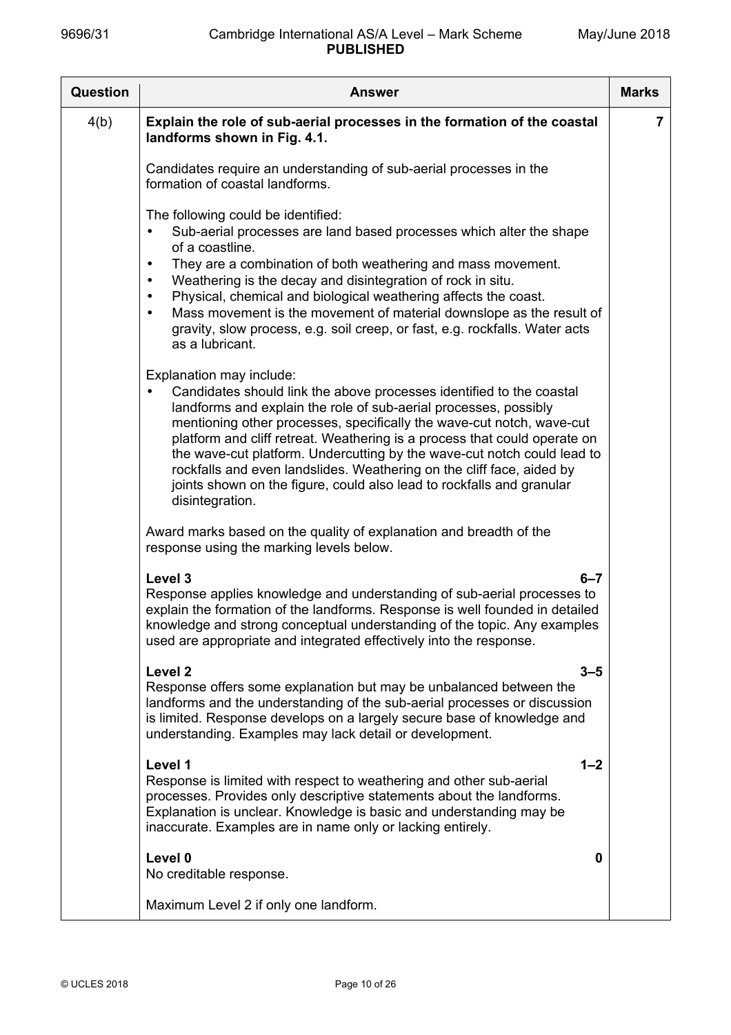| <b>Question</b> | <b>Answer</b>                                                                                                                                                                                                                                                                                                                                                                                                                                                                                                                                                              | <b>Marks</b>   |
|-----------------|----------------------------------------------------------------------------------------------------------------------------------------------------------------------------------------------------------------------------------------------------------------------------------------------------------------------------------------------------------------------------------------------------------------------------------------------------------------------------------------------------------------------------------------------------------------------------|----------------|
| 4(b)            | Explain the role of sub-aerial processes in the formation of the coastal<br>landforms shown in Fig. 4.1.                                                                                                                                                                                                                                                                                                                                                                                                                                                                   | $\overline{7}$ |
|                 | Candidates require an understanding of sub-aerial processes in the<br>formation of coastal landforms.                                                                                                                                                                                                                                                                                                                                                                                                                                                                      |                |
|                 | The following could be identified:<br>Sub-aerial processes are land based processes which alter the shape<br>of a coastline.<br>They are a combination of both weathering and mass movement.<br>$\bullet$<br>Weathering is the decay and disintegration of rock in situ.<br>$\bullet$<br>Physical, chemical and biological weathering affects the coast.<br>$\bullet$<br>Mass movement is the movement of material downslope as the result of<br>gravity, slow process, e.g. soil creep, or fast, e.g. rockfalls. Water acts<br>as a lubricant.                            |                |
|                 | Explanation may include:<br>Candidates should link the above processes identified to the coastal<br>landforms and explain the role of sub-aerial processes, possibly<br>mentioning other processes, specifically the wave-cut notch, wave-cut<br>platform and cliff retreat. Weathering is a process that could operate on<br>the wave-cut platform. Undercutting by the wave-cut notch could lead to<br>rockfalls and even landslides. Weathering on the cliff face, aided by<br>joints shown on the figure, could also lead to rockfalls and granular<br>disintegration. |                |
|                 | Award marks based on the quality of explanation and breadth of the<br>response using the marking levels below.                                                                                                                                                                                                                                                                                                                                                                                                                                                             |                |
|                 | Level 3<br>$6 - 7$<br>Response applies knowledge and understanding of sub-aerial processes to<br>explain the formation of the landforms. Response is well founded in detailed<br>knowledge and strong conceptual understanding of the topic. Any examples<br>used are appropriate and integrated effectively into the response.                                                                                                                                                                                                                                            |                |
|                 | Level <sub>2</sub><br>$3 - 5$<br>Response offers some explanation but may be unbalanced between the<br>landforms and the understanding of the sub-aerial processes or discussion<br>is limited. Response develops on a largely secure base of knowledge and<br>understanding. Examples may lack detail or development.                                                                                                                                                                                                                                                     |                |
|                 | Level 1<br>$1 - 2$<br>Response is limited with respect to weathering and other sub-aerial<br>processes. Provides only descriptive statements about the landforms.<br>Explanation is unclear. Knowledge is basic and understanding may be<br>inaccurate. Examples are in name only or lacking entirely.                                                                                                                                                                                                                                                                     |                |
|                 | Level 0<br>0<br>No creditable response.                                                                                                                                                                                                                                                                                                                                                                                                                                                                                                                                    |                |
|                 | Maximum Level 2 if only one landform.                                                                                                                                                                                                                                                                                                                                                                                                                                                                                                                                      |                |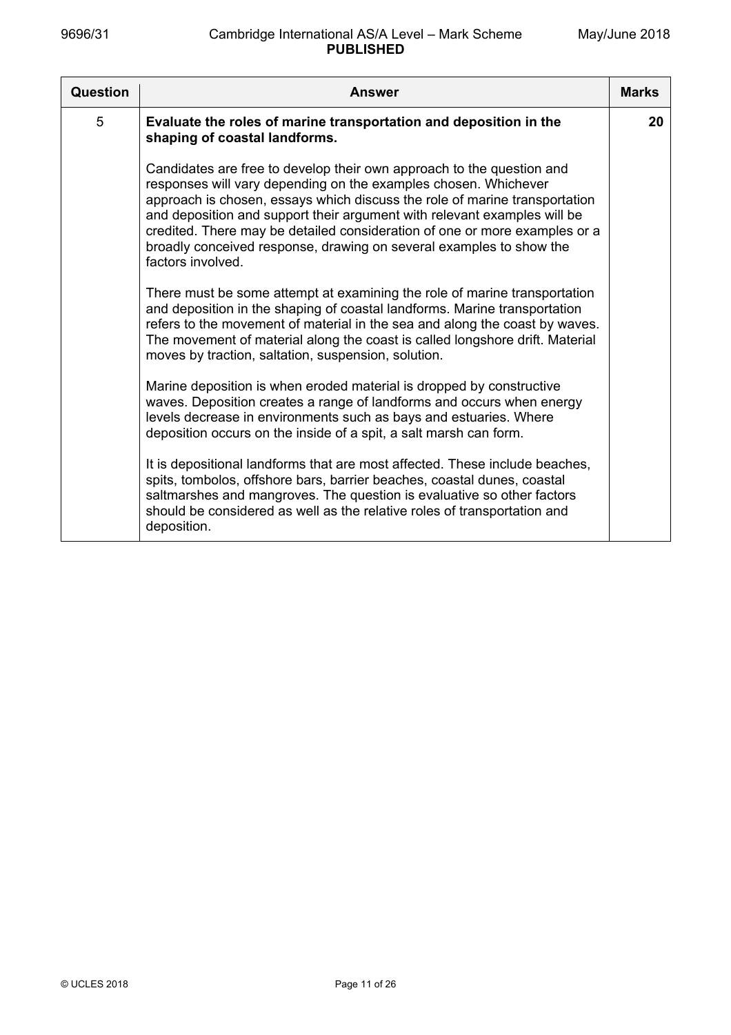| Question | <b>Answer</b>                                                                                                                                                                                                                                                                                                                                                                                                                                                                | <b>Marks</b> |
|----------|------------------------------------------------------------------------------------------------------------------------------------------------------------------------------------------------------------------------------------------------------------------------------------------------------------------------------------------------------------------------------------------------------------------------------------------------------------------------------|--------------|
| 5        | Evaluate the roles of marine transportation and deposition in the<br>shaping of coastal landforms.                                                                                                                                                                                                                                                                                                                                                                           | 20           |
|          | Candidates are free to develop their own approach to the question and<br>responses will vary depending on the examples chosen. Whichever<br>approach is chosen, essays which discuss the role of marine transportation<br>and deposition and support their argument with relevant examples will be<br>credited. There may be detailed consideration of one or more examples or a<br>broadly conceived response, drawing on several examples to show the<br>factors involved. |              |
|          | There must be some attempt at examining the role of marine transportation<br>and deposition in the shaping of coastal landforms. Marine transportation<br>refers to the movement of material in the sea and along the coast by waves.<br>The movement of material along the coast is called longshore drift. Material<br>moves by traction, saltation, suspension, solution.                                                                                                 |              |
|          | Marine deposition is when eroded material is dropped by constructive<br>waves. Deposition creates a range of landforms and occurs when energy<br>levels decrease in environments such as bays and estuaries. Where<br>deposition occurs on the inside of a spit, a salt marsh can form.                                                                                                                                                                                      |              |
|          | It is depositional landforms that are most affected. These include beaches,<br>spits, tombolos, offshore bars, barrier beaches, coastal dunes, coastal<br>saltmarshes and mangroves. The question is evaluative so other factors<br>should be considered as well as the relative roles of transportation and<br>deposition.                                                                                                                                                  |              |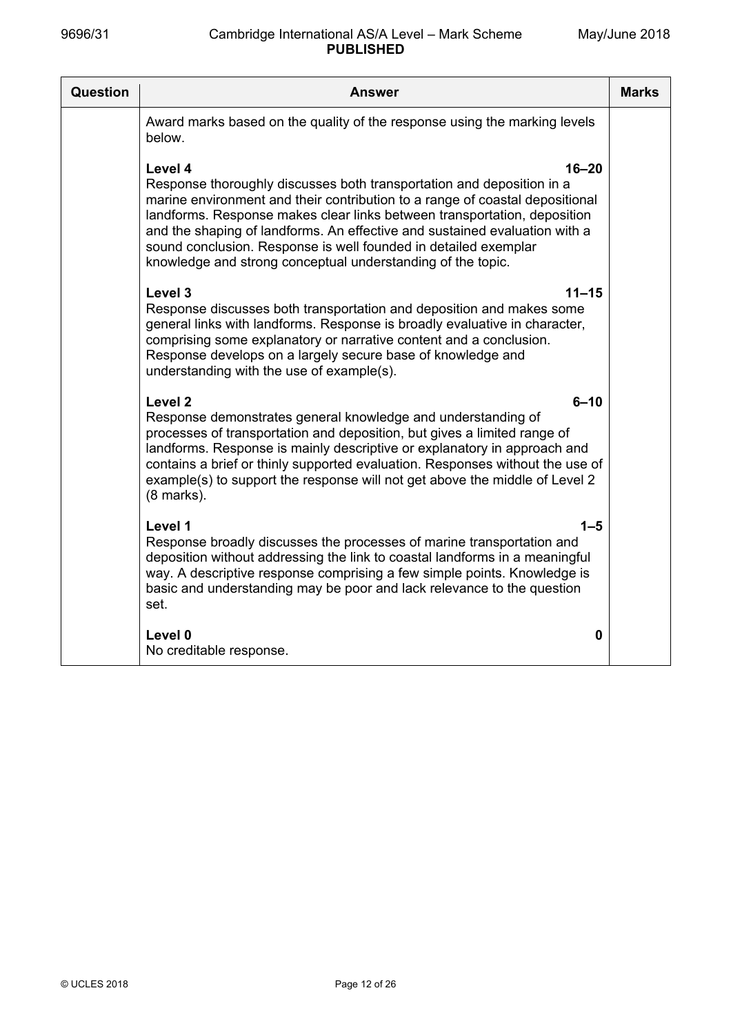| Question | Answer                                                                                                                                                                                                                                                                                                                                                                                                                                                                    | <b>Marks</b> |
|----------|---------------------------------------------------------------------------------------------------------------------------------------------------------------------------------------------------------------------------------------------------------------------------------------------------------------------------------------------------------------------------------------------------------------------------------------------------------------------------|--------------|
|          | Award marks based on the quality of the response using the marking levels<br>below.                                                                                                                                                                                                                                                                                                                                                                                       |              |
|          | $16 - 20$<br>Level 4<br>Response thoroughly discusses both transportation and deposition in a<br>marine environment and their contribution to a range of coastal depositional<br>landforms. Response makes clear links between transportation, deposition<br>and the shaping of landforms. An effective and sustained evaluation with a<br>sound conclusion. Response is well founded in detailed exemplar<br>knowledge and strong conceptual understanding of the topic. |              |
|          | Level 3<br>$11 - 15$<br>Response discusses both transportation and deposition and makes some<br>general links with landforms. Response is broadly evaluative in character,<br>comprising some explanatory or narrative content and a conclusion.<br>Response develops on a largely secure base of knowledge and<br>understanding with the use of example(s).                                                                                                              |              |
|          | Level <sub>2</sub><br>$6 - 10$<br>Response demonstrates general knowledge and understanding of<br>processes of transportation and deposition, but gives a limited range of<br>landforms. Response is mainly descriptive or explanatory in approach and<br>contains a brief or thinly supported evaluation. Responses without the use of<br>example(s) to support the response will not get above the middle of Level 2<br>$(8$ marks).                                    |              |
|          | Level 1<br>$1 - 5$<br>Response broadly discusses the processes of marine transportation and<br>deposition without addressing the link to coastal landforms in a meaningful<br>way. A descriptive response comprising a few simple points. Knowledge is<br>basic and understanding may be poor and lack relevance to the question<br>set.                                                                                                                                  |              |
|          | Level 0<br>0<br>No creditable response.                                                                                                                                                                                                                                                                                                                                                                                                                                   |              |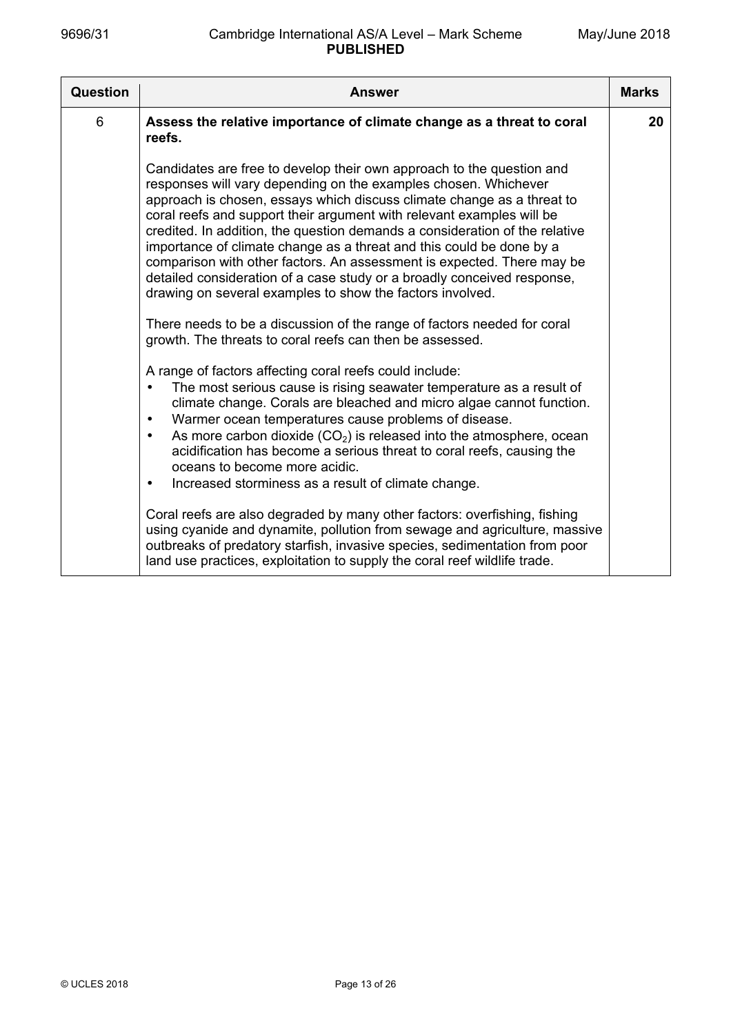| Question | <b>Answer</b>                                                                                                                                                                                                                                                                                                                                                                                                                                                                                                                                                                                                                                                        | <b>Marks</b> |
|----------|----------------------------------------------------------------------------------------------------------------------------------------------------------------------------------------------------------------------------------------------------------------------------------------------------------------------------------------------------------------------------------------------------------------------------------------------------------------------------------------------------------------------------------------------------------------------------------------------------------------------------------------------------------------------|--------------|
| 6        | Assess the relative importance of climate change as a threat to coral<br>reefs.                                                                                                                                                                                                                                                                                                                                                                                                                                                                                                                                                                                      | 20           |
|          | Candidates are free to develop their own approach to the question and<br>responses will vary depending on the examples chosen. Whichever<br>approach is chosen, essays which discuss climate change as a threat to<br>coral reefs and support their argument with relevant examples will be<br>credited. In addition, the question demands a consideration of the relative<br>importance of climate change as a threat and this could be done by a<br>comparison with other factors. An assessment is expected. There may be<br>detailed consideration of a case study or a broadly conceived response,<br>drawing on several examples to show the factors involved. |              |
|          | There needs to be a discussion of the range of factors needed for coral<br>growth. The threats to coral reefs can then be assessed.                                                                                                                                                                                                                                                                                                                                                                                                                                                                                                                                  |              |
|          | A range of factors affecting coral reefs could include:<br>The most serious cause is rising seawater temperature as a result of<br>$\bullet$<br>climate change. Corals are bleached and micro algae cannot function.<br>Warmer ocean temperatures cause problems of disease.<br>$\bullet$<br>As more carbon dioxide $(CO2)$ is released into the atmosphere, ocean<br>$\bullet$<br>acidification has become a serious threat to coral reefs, causing the<br>oceans to become more acidic.<br>Increased storminess as a result of climate change.<br>$\bullet$                                                                                                        |              |
|          | Coral reefs are also degraded by many other factors: overfishing, fishing<br>using cyanide and dynamite, pollution from sewage and agriculture, massive<br>outbreaks of predatory starfish, invasive species, sedimentation from poor<br>land use practices, exploitation to supply the coral reef wildlife trade.                                                                                                                                                                                                                                                                                                                                                   |              |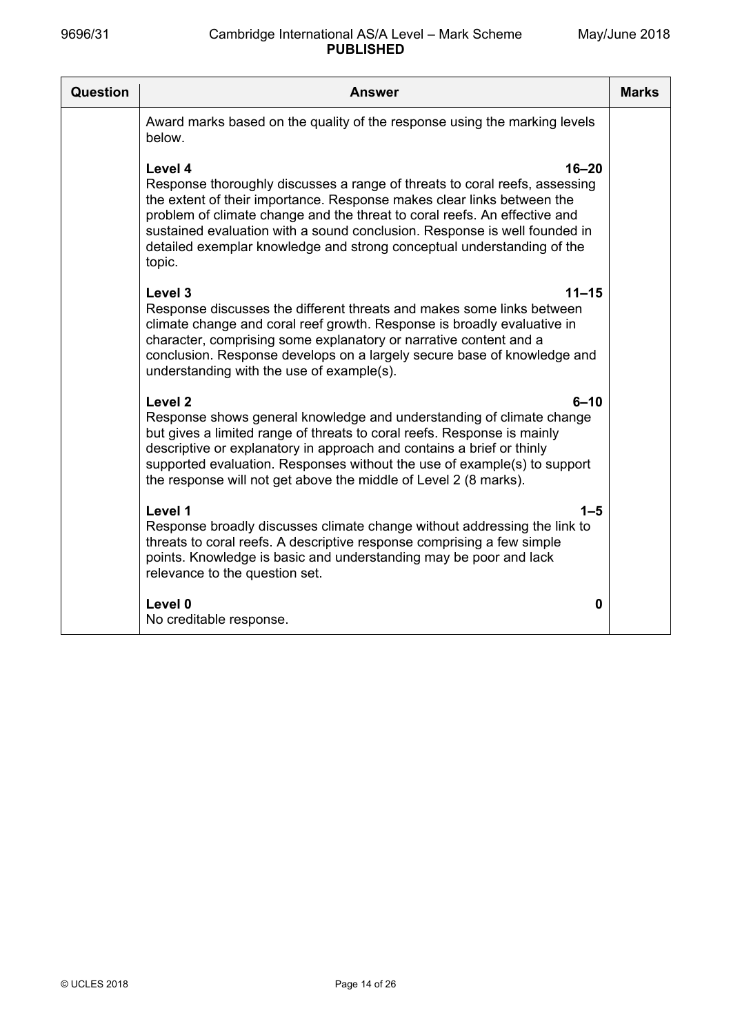| Question | Answer                                                                                                                                                                                                                                                                                                                                                                                                                     | <b>Marks</b> |
|----------|----------------------------------------------------------------------------------------------------------------------------------------------------------------------------------------------------------------------------------------------------------------------------------------------------------------------------------------------------------------------------------------------------------------------------|--------------|
|          | Award marks based on the quality of the response using the marking levels<br>below.                                                                                                                                                                                                                                                                                                                                        |              |
|          | Level 4<br>$16 - 20$<br>Response thoroughly discusses a range of threats to coral reefs, assessing<br>the extent of their importance. Response makes clear links between the<br>problem of climate change and the threat to coral reefs. An effective and<br>sustained evaluation with a sound conclusion. Response is well founded in<br>detailed exemplar knowledge and strong conceptual understanding of the<br>topic. |              |
|          | Level 3<br>$11 - 15$<br>Response discusses the different threats and makes some links between<br>climate change and coral reef growth. Response is broadly evaluative in<br>character, comprising some explanatory or narrative content and a<br>conclusion. Response develops on a largely secure base of knowledge and<br>understanding with the use of example(s).                                                      |              |
|          | Level <sub>2</sub><br>$6 - 10$<br>Response shows general knowledge and understanding of climate change<br>but gives a limited range of threats to coral reefs. Response is mainly<br>descriptive or explanatory in approach and contains a brief or thinly<br>supported evaluation. Responses without the use of example(s) to support<br>the response will not get above the middle of Level 2 (8 marks).                 |              |
|          | Level 1<br>$1 - 5$<br>Response broadly discusses climate change without addressing the link to<br>threats to coral reefs. A descriptive response comprising a few simple<br>points. Knowledge is basic and understanding may be poor and lack<br>relevance to the question set.                                                                                                                                            |              |
|          | Level 0<br>0<br>No creditable response.                                                                                                                                                                                                                                                                                                                                                                                    |              |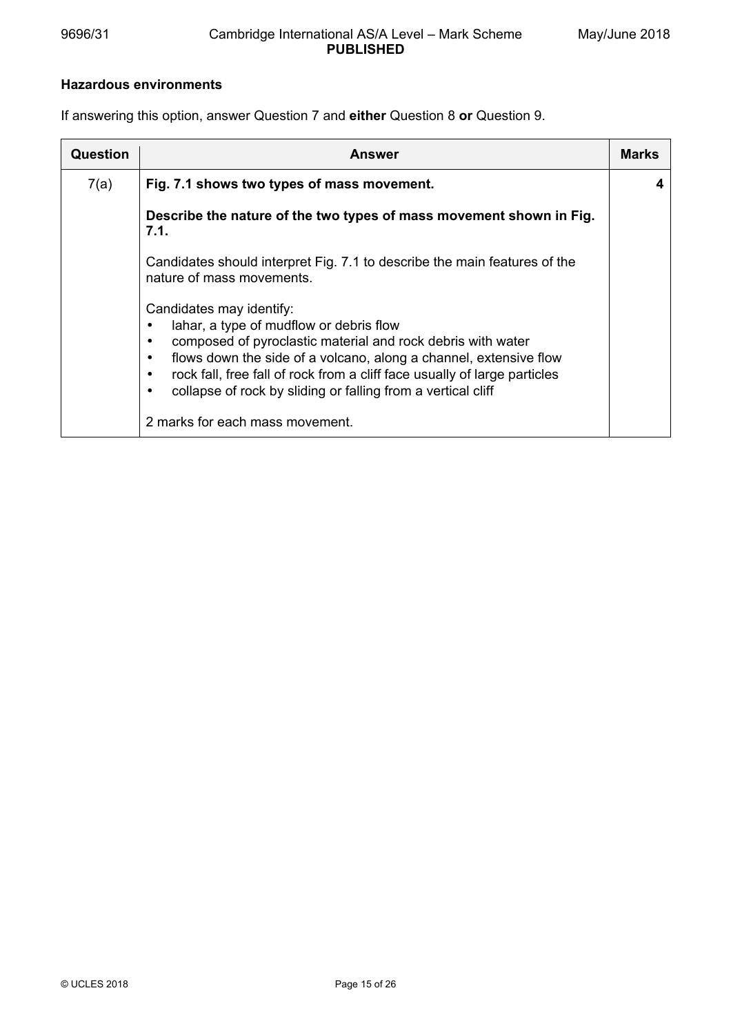### **Hazardous environments**

If answering this option, answer Question 7 and **either** Question 8 **or** Question 9.

| Question | Answer                                                                                                                                                                                                                                                                                                                                               | Marks |
|----------|------------------------------------------------------------------------------------------------------------------------------------------------------------------------------------------------------------------------------------------------------------------------------------------------------------------------------------------------------|-------|
| 7(a)     | Fig. 7.1 shows two types of mass movement.                                                                                                                                                                                                                                                                                                           |       |
|          | Describe the nature of the two types of mass movement shown in Fig.<br>7.1.                                                                                                                                                                                                                                                                          |       |
|          | Candidates should interpret Fig. 7.1 to describe the main features of the<br>nature of mass movements.                                                                                                                                                                                                                                               |       |
|          | Candidates may identify:<br>lahar, a type of mudflow or debris flow<br>composed of pyroclastic material and rock debris with water<br>flows down the side of a volcano, along a channel, extensive flow<br>rock fall, free fall of rock from a cliff face usually of large particles<br>collapse of rock by sliding or falling from a vertical cliff |       |
|          | 2 marks for each mass movement.                                                                                                                                                                                                                                                                                                                      |       |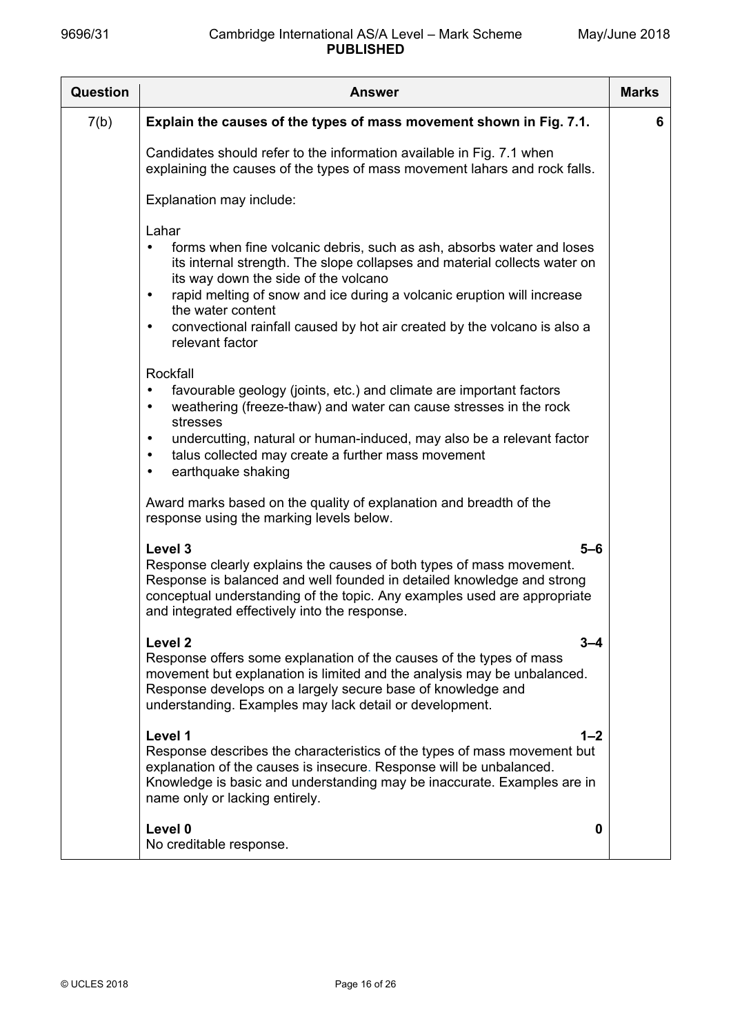| Question | <b>Answer</b>                                                                                                                                                                                                                                                                                                                                                                                                                            | <b>Marks</b> |
|----------|------------------------------------------------------------------------------------------------------------------------------------------------------------------------------------------------------------------------------------------------------------------------------------------------------------------------------------------------------------------------------------------------------------------------------------------|--------------|
| 7(b)     | Explain the causes of the types of mass movement shown in Fig. 7.1.                                                                                                                                                                                                                                                                                                                                                                      | 6            |
|          | Candidates should refer to the information available in Fig. 7.1 when<br>explaining the causes of the types of mass movement lahars and rock falls.                                                                                                                                                                                                                                                                                      |              |
|          | Explanation may include:                                                                                                                                                                                                                                                                                                                                                                                                                 |              |
|          | Lahar<br>forms when fine volcanic debris, such as ash, absorbs water and loses<br>$\bullet$<br>its internal strength. The slope collapses and material collects water on<br>its way down the side of the volcano<br>rapid melting of snow and ice during a volcanic eruption will increase<br>$\bullet$<br>the water content<br>convectional rainfall caused by hot air created by the volcano is also a<br>$\bullet$<br>relevant factor |              |
|          | Rockfall<br>favourable geology (joints, etc.) and climate are important factors<br>weathering (freeze-thaw) and water can cause stresses in the rock<br>stresses<br>undercutting, natural or human-induced, may also be a relevant factor<br>$\bullet$<br>talus collected may create a further mass movement<br>$\bullet$<br>earthquake shaking                                                                                          |              |
|          | Award marks based on the quality of explanation and breadth of the<br>response using the marking levels below.                                                                                                                                                                                                                                                                                                                           |              |
|          | Level 3<br>$5 - 6$<br>Response clearly explains the causes of both types of mass movement.<br>Response is balanced and well founded in detailed knowledge and strong<br>conceptual understanding of the topic. Any examples used are appropriate<br>and integrated effectively into the response.                                                                                                                                        |              |
|          | Level <sub>2</sub><br>$3 - 4$<br>Response offers some explanation of the causes of the types of mass<br>movement but explanation is limited and the analysis may be unbalanced.<br>Response develops on a largely secure base of knowledge and<br>understanding. Examples may lack detail or development.                                                                                                                                |              |
|          | Level 1<br>$1 - 2$<br>Response describes the characteristics of the types of mass movement but<br>explanation of the causes is insecure. Response will be unbalanced.<br>Knowledge is basic and understanding may be inaccurate. Examples are in<br>name only or lacking entirely.                                                                                                                                                       |              |
|          | Level 0<br>0<br>No creditable response.                                                                                                                                                                                                                                                                                                                                                                                                  |              |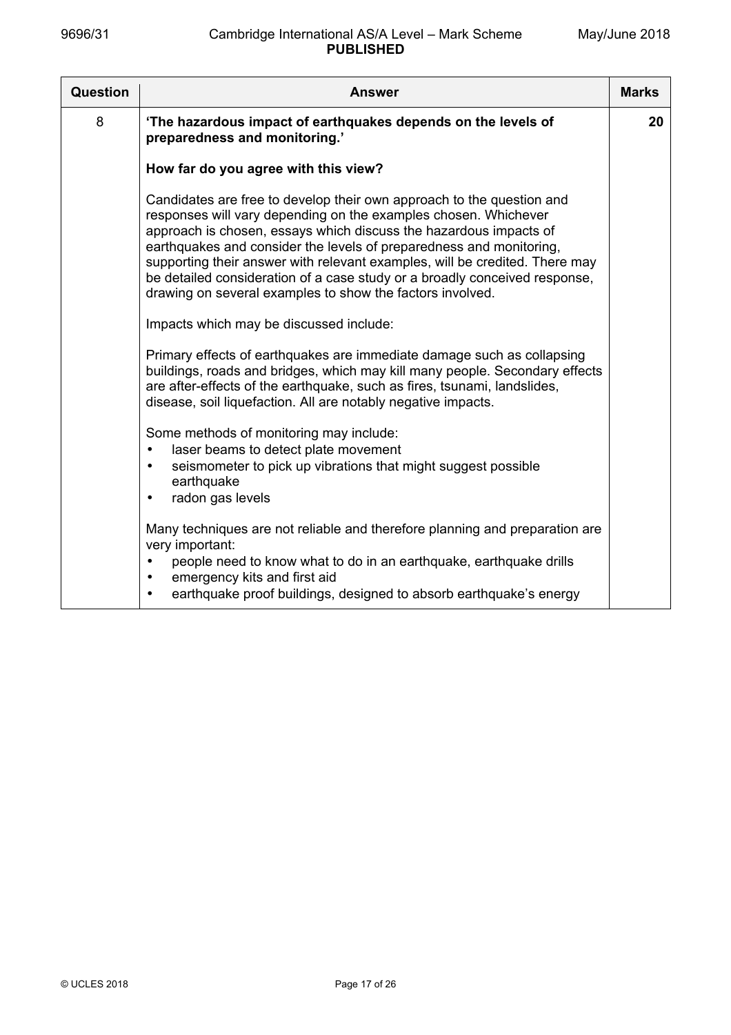| Question | <b>Answer</b>                                                                                                                                                                                                                                                                                                                                                                                                                                                                                                  | <b>Marks</b> |
|----------|----------------------------------------------------------------------------------------------------------------------------------------------------------------------------------------------------------------------------------------------------------------------------------------------------------------------------------------------------------------------------------------------------------------------------------------------------------------------------------------------------------------|--------------|
| 8        | 'The hazardous impact of earthquakes depends on the levels of<br>preparedness and monitoring.'                                                                                                                                                                                                                                                                                                                                                                                                                 | 20           |
|          | How far do you agree with this view?                                                                                                                                                                                                                                                                                                                                                                                                                                                                           |              |
|          | Candidates are free to develop their own approach to the question and<br>responses will vary depending on the examples chosen. Whichever<br>approach is chosen, essays which discuss the hazardous impacts of<br>earthquakes and consider the levels of preparedness and monitoring,<br>supporting their answer with relevant examples, will be credited. There may<br>be detailed consideration of a case study or a broadly conceived response,<br>drawing on several examples to show the factors involved. |              |
|          | Impacts which may be discussed include:                                                                                                                                                                                                                                                                                                                                                                                                                                                                        |              |
|          | Primary effects of earthquakes are immediate damage such as collapsing<br>buildings, roads and bridges, which may kill many people. Secondary effects<br>are after-effects of the earthquake, such as fires, tsunami, landslides,<br>disease, soil liquefaction. All are notably negative impacts.                                                                                                                                                                                                             |              |
|          | Some methods of monitoring may include:<br>laser beams to detect plate movement<br>$\bullet$<br>seismometer to pick up vibrations that might suggest possible<br>$\bullet$<br>earthquake<br>radon gas levels<br>٠                                                                                                                                                                                                                                                                                              |              |
|          | Many techniques are not reliable and therefore planning and preparation are<br>very important:<br>people need to know what to do in an earthquake, earthquake drills<br>emergency kits and first aid<br>٠<br>earthquake proof buildings, designed to absorb earthquake's energy<br>$\bullet$                                                                                                                                                                                                                   |              |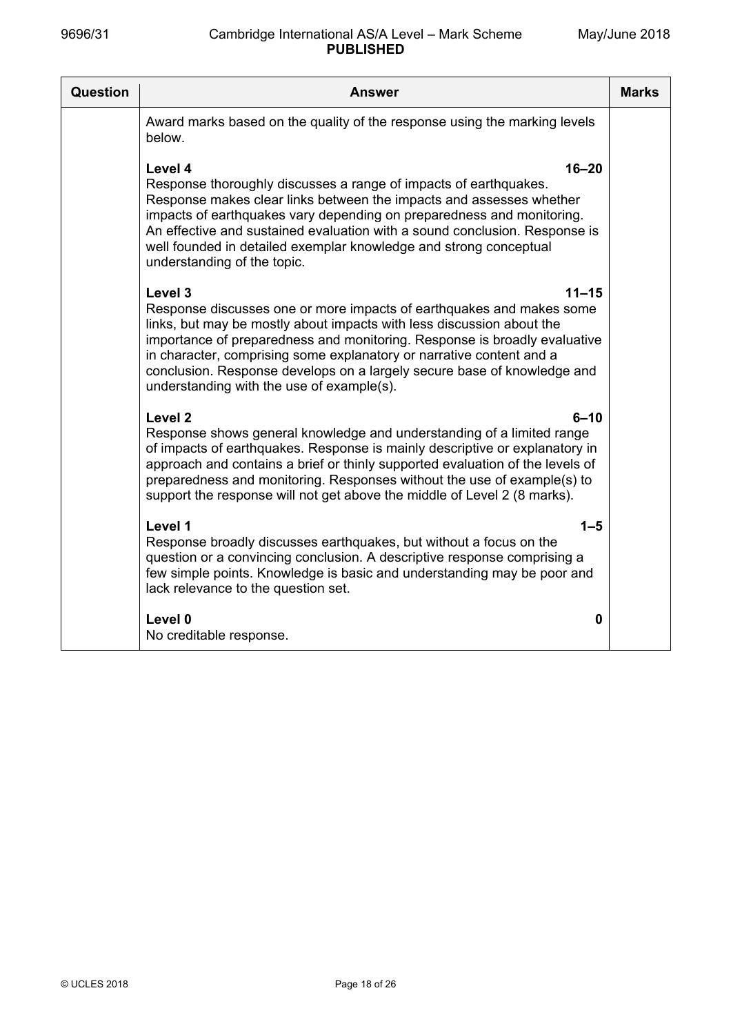| Question | <b>Answer</b>                                                                                                                                                                                                                                                                                                                                                                                                                                      | <b>Marks</b> |
|----------|----------------------------------------------------------------------------------------------------------------------------------------------------------------------------------------------------------------------------------------------------------------------------------------------------------------------------------------------------------------------------------------------------------------------------------------------------|--------------|
|          | Award marks based on the quality of the response using the marking levels<br>below.                                                                                                                                                                                                                                                                                                                                                                |              |
|          | Level 4<br>$16 - 20$<br>Response thoroughly discusses a range of impacts of earthquakes.<br>Response makes clear links between the impacts and assesses whether<br>impacts of earthquakes vary depending on preparedness and monitoring.<br>An effective and sustained evaluation with a sound conclusion. Response is<br>well founded in detailed exemplar knowledge and strong conceptual<br>understanding of the topic.                         |              |
|          | Level 3<br>$11 - 15$<br>Response discusses one or more impacts of earthquakes and makes some<br>links, but may be mostly about impacts with less discussion about the<br>importance of preparedness and monitoring. Response is broadly evaluative<br>in character, comprising some explanatory or narrative content and a<br>conclusion. Response develops on a largely secure base of knowledge and<br>understanding with the use of example(s). |              |
|          | Level <sub>2</sub><br>$6 - 10$<br>Response shows general knowledge and understanding of a limited range<br>of impacts of earthquakes. Response is mainly descriptive or explanatory in<br>approach and contains a brief or thinly supported evaluation of the levels of<br>preparedness and monitoring. Responses without the use of example(s) to<br>support the response will not get above the middle of Level 2 (8 marks).                     |              |
|          | Level 1<br>$1 - 5$<br>Response broadly discusses earthquakes, but without a focus on the<br>question or a convincing conclusion. A descriptive response comprising a<br>few simple points. Knowledge is basic and understanding may be poor and<br>lack relevance to the question set.                                                                                                                                                             |              |
|          | Level 0<br>0<br>No creditable response.                                                                                                                                                                                                                                                                                                                                                                                                            |              |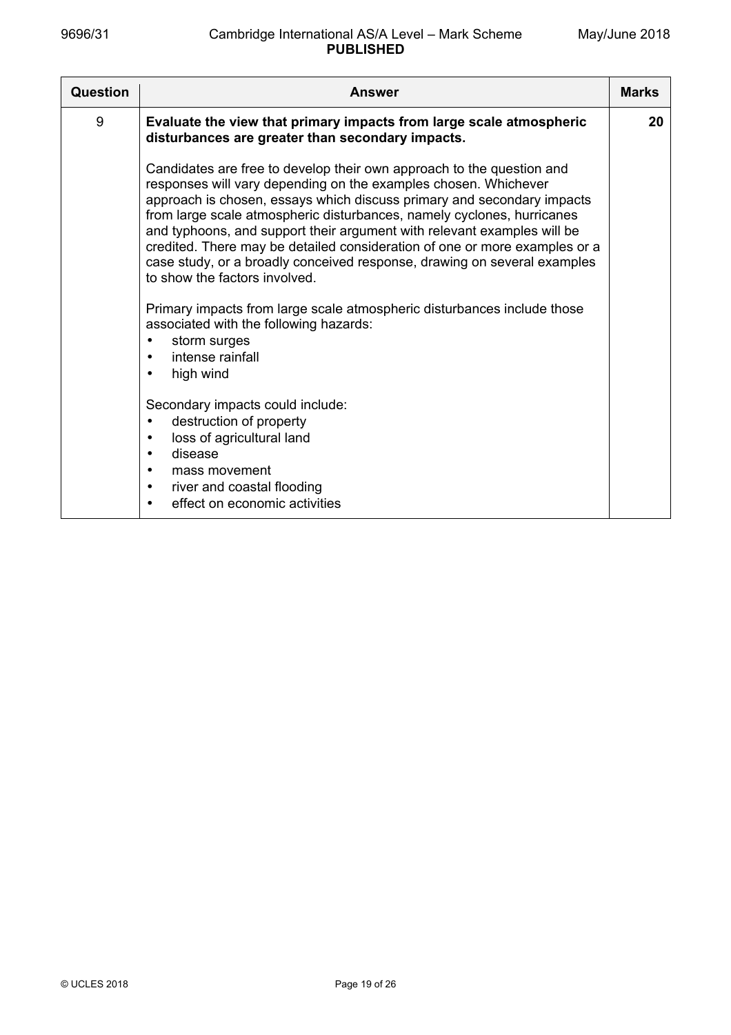| <b>Question</b> | Answer                                                                                                                                                                                                                                                                                                                                                                                                                                                                                                                                                                                                                                                                                                                                                                  | <b>Marks</b> |
|-----------------|-------------------------------------------------------------------------------------------------------------------------------------------------------------------------------------------------------------------------------------------------------------------------------------------------------------------------------------------------------------------------------------------------------------------------------------------------------------------------------------------------------------------------------------------------------------------------------------------------------------------------------------------------------------------------------------------------------------------------------------------------------------------------|--------------|
| 9               | Evaluate the view that primary impacts from large scale atmospheric<br>disturbances are greater than secondary impacts.                                                                                                                                                                                                                                                                                                                                                                                                                                                                                                                                                                                                                                                 | 20           |
|                 | Candidates are free to develop their own approach to the question and<br>responses will vary depending on the examples chosen. Whichever<br>approach is chosen, essays which discuss primary and secondary impacts<br>from large scale atmospheric disturbances, namely cyclones, hurricanes<br>and typhoons, and support their argument with relevant examples will be<br>credited. There may be detailed consideration of one or more examples or a<br>case study, or a broadly conceived response, drawing on several examples<br>to show the factors involved.<br>Primary impacts from large scale atmospheric disturbances include those<br>associated with the following hazards:<br>storm surges<br>٠<br>intense rainfall<br>$\bullet$<br>high wind<br>$\bullet$ |              |
|                 | Secondary impacts could include:<br>destruction of property<br>$\bullet$<br>loss of agricultural land<br>$\bullet$<br>disease<br>$\bullet$<br>mass movement<br>$\bullet$<br>river and coastal flooding<br>$\bullet$<br>effect on economic activities<br>$\bullet$                                                                                                                                                                                                                                                                                                                                                                                                                                                                                                       |              |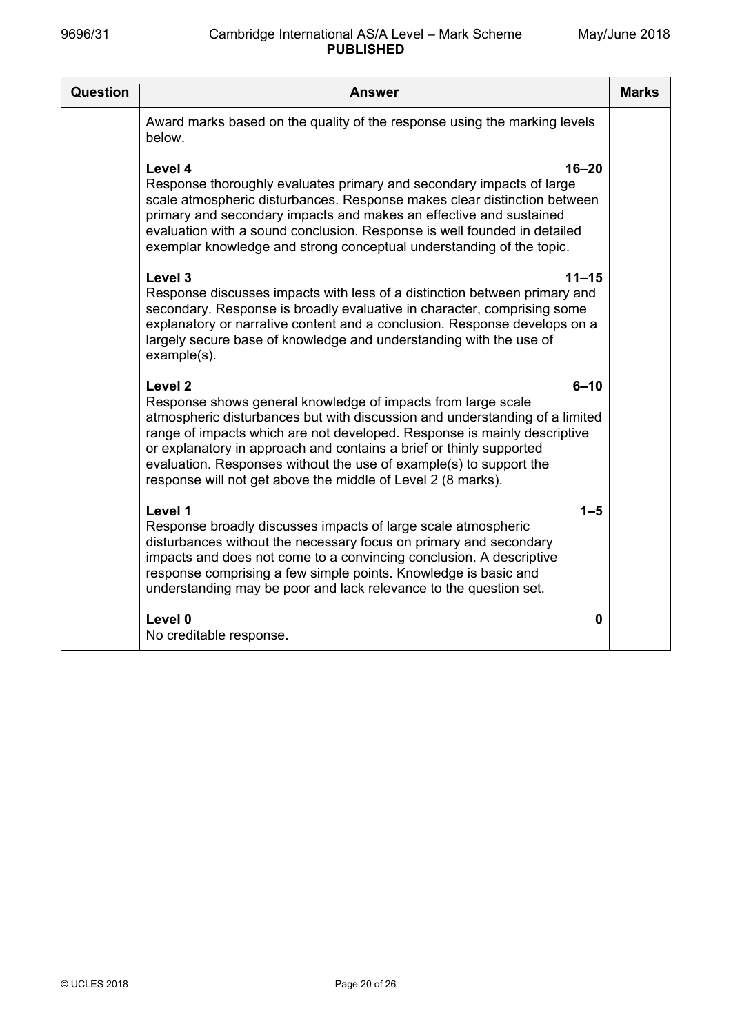| Question | <b>Answer</b>                                                                                                                                                                                                                                                                                                                                                                                                                                                          | <b>Marks</b> |
|----------|------------------------------------------------------------------------------------------------------------------------------------------------------------------------------------------------------------------------------------------------------------------------------------------------------------------------------------------------------------------------------------------------------------------------------------------------------------------------|--------------|
|          | Award marks based on the quality of the response using the marking levels<br>below.                                                                                                                                                                                                                                                                                                                                                                                    |              |
|          | Level 4<br>$16 - 20$<br>Response thoroughly evaluates primary and secondary impacts of large<br>scale atmospheric disturbances. Response makes clear distinction between<br>primary and secondary impacts and makes an effective and sustained<br>evaluation with a sound conclusion. Response is well founded in detailed<br>exemplar knowledge and strong conceptual understanding of the topic.                                                                     |              |
|          | Level 3<br>$11 - 15$<br>Response discusses impacts with less of a distinction between primary and<br>secondary. Response is broadly evaluative in character, comprising some<br>explanatory or narrative content and a conclusion. Response develops on a<br>largely secure base of knowledge and understanding with the use of<br>example(s).                                                                                                                         |              |
|          | Level <sub>2</sub><br>$6 - 10$<br>Response shows general knowledge of impacts from large scale<br>atmospheric disturbances but with discussion and understanding of a limited<br>range of impacts which are not developed. Response is mainly descriptive<br>or explanatory in approach and contains a brief or thinly supported<br>evaluation. Responses without the use of example(s) to support the<br>response will not get above the middle of Level 2 (8 marks). |              |
|          | Level 1<br>$1 - 5$<br>Response broadly discusses impacts of large scale atmospheric<br>disturbances without the necessary focus on primary and secondary<br>impacts and does not come to a convincing conclusion. A descriptive<br>response comprising a few simple points. Knowledge is basic and<br>understanding may be poor and lack relevance to the question set.                                                                                                |              |
|          | Level 0<br>$\mathbf 0$<br>No creditable response.                                                                                                                                                                                                                                                                                                                                                                                                                      |              |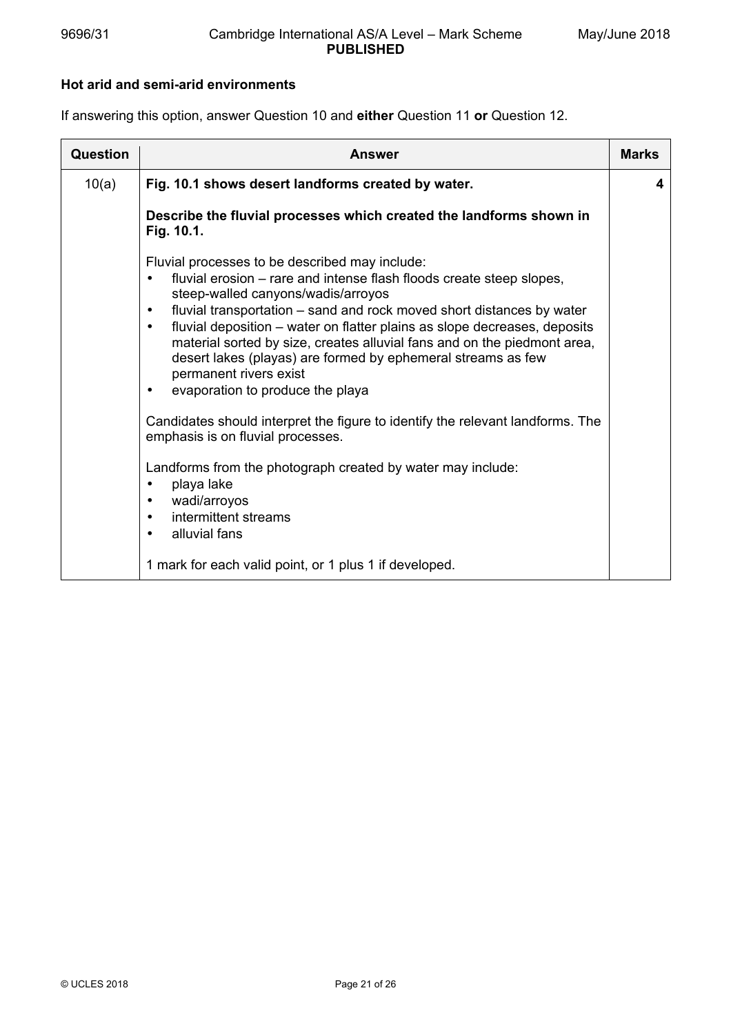### **Hot arid and semi-arid environments**

If answering this option, answer Question 10 and **either** Question 11 **or** Question 12.

| <b>Question</b> | <b>Answer</b>                                                                                                                                                                                                                                                                                                                                                                                                                                                                                                                                                                                                                                                                                                                                                                                                                                                                | <b>Marks</b> |
|-----------------|------------------------------------------------------------------------------------------------------------------------------------------------------------------------------------------------------------------------------------------------------------------------------------------------------------------------------------------------------------------------------------------------------------------------------------------------------------------------------------------------------------------------------------------------------------------------------------------------------------------------------------------------------------------------------------------------------------------------------------------------------------------------------------------------------------------------------------------------------------------------------|--------------|
| 10(a)           | Fig. 10.1 shows desert landforms created by water.                                                                                                                                                                                                                                                                                                                                                                                                                                                                                                                                                                                                                                                                                                                                                                                                                           | 4            |
|                 | Describe the fluvial processes which created the landforms shown in<br>Fig. 10.1.                                                                                                                                                                                                                                                                                                                                                                                                                                                                                                                                                                                                                                                                                                                                                                                            |              |
|                 | Fluvial processes to be described may include:<br>fluvial erosion – rare and intense flash floods create steep slopes,<br>$\bullet$<br>steep-walled canyons/wadis/arroyos<br>fluvial transportation – sand and rock moved short distances by water<br>$\bullet$<br>fluvial deposition – water on flatter plains as slope decreases, deposits<br>$\bullet$<br>material sorted by size, creates alluvial fans and on the piedmont area,<br>desert lakes (playas) are formed by ephemeral streams as few<br>permanent rivers exist<br>evaporation to produce the playa<br>$\bullet$<br>Candidates should interpret the figure to identify the relevant landforms. The<br>emphasis is on fluvial processes.<br>Landforms from the photograph created by water may include:<br>playa lake<br>$\bullet$<br>wadi/arroyos<br>٠<br>intermittent streams<br>alluvial fans<br>$\bullet$ |              |
|                 | 1 mark for each valid point, or 1 plus 1 if developed.                                                                                                                                                                                                                                                                                                                                                                                                                                                                                                                                                                                                                                                                                                                                                                                                                       |              |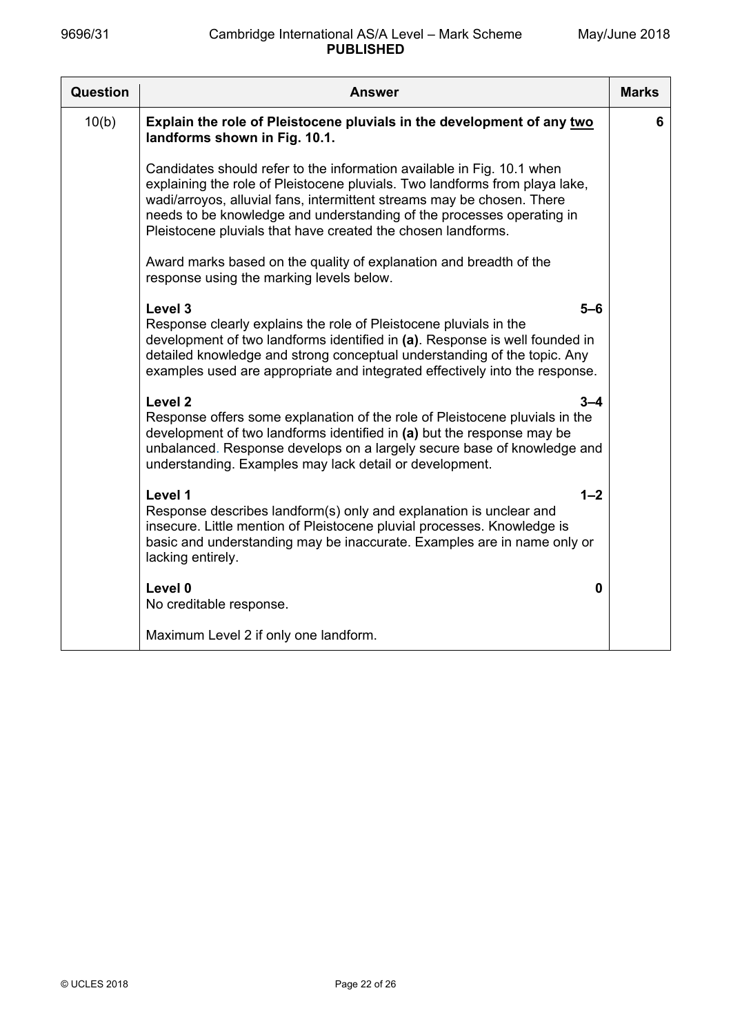| Question | <b>Answer</b>                                                                                                                                                                                                                                                                                                                                                            | <b>Marks</b> |
|----------|--------------------------------------------------------------------------------------------------------------------------------------------------------------------------------------------------------------------------------------------------------------------------------------------------------------------------------------------------------------------------|--------------|
| 10(b)    | Explain the role of Pleistocene pluvials in the development of any two<br>landforms shown in Fig. 10.1.                                                                                                                                                                                                                                                                  | 6            |
|          | Candidates should refer to the information available in Fig. 10.1 when<br>explaining the role of Pleistocene pluvials. Two landforms from playa lake,<br>wadi/arroyos, alluvial fans, intermittent streams may be chosen. There<br>needs to be knowledge and understanding of the processes operating in<br>Pleistocene pluvials that have created the chosen landforms. |              |
|          | Award marks based on the quality of explanation and breadth of the<br>response using the marking levels below.                                                                                                                                                                                                                                                           |              |
|          | Level 3<br>5–6<br>Response clearly explains the role of Pleistocene pluvials in the<br>development of two landforms identified in (a). Response is well founded in<br>detailed knowledge and strong conceptual understanding of the topic. Any<br>examples used are appropriate and integrated effectively into the response.                                            |              |
|          | Level <sub>2</sub><br>$3 - 4$<br>Response offers some explanation of the role of Pleistocene pluvials in the<br>development of two landforms identified in (a) but the response may be<br>unbalanced. Response develops on a largely secure base of knowledge and<br>understanding. Examples may lack detail or development.                                             |              |
|          | Level 1<br>$1 - 2$<br>Response describes landform(s) only and explanation is unclear and<br>insecure. Little mention of Pleistocene pluvial processes. Knowledge is<br>basic and understanding may be inaccurate. Examples are in name only or<br>lacking entirely.                                                                                                      |              |
|          | Level 0<br>0<br>No creditable response.                                                                                                                                                                                                                                                                                                                                  |              |
|          | Maximum Level 2 if only one landform.                                                                                                                                                                                                                                                                                                                                    |              |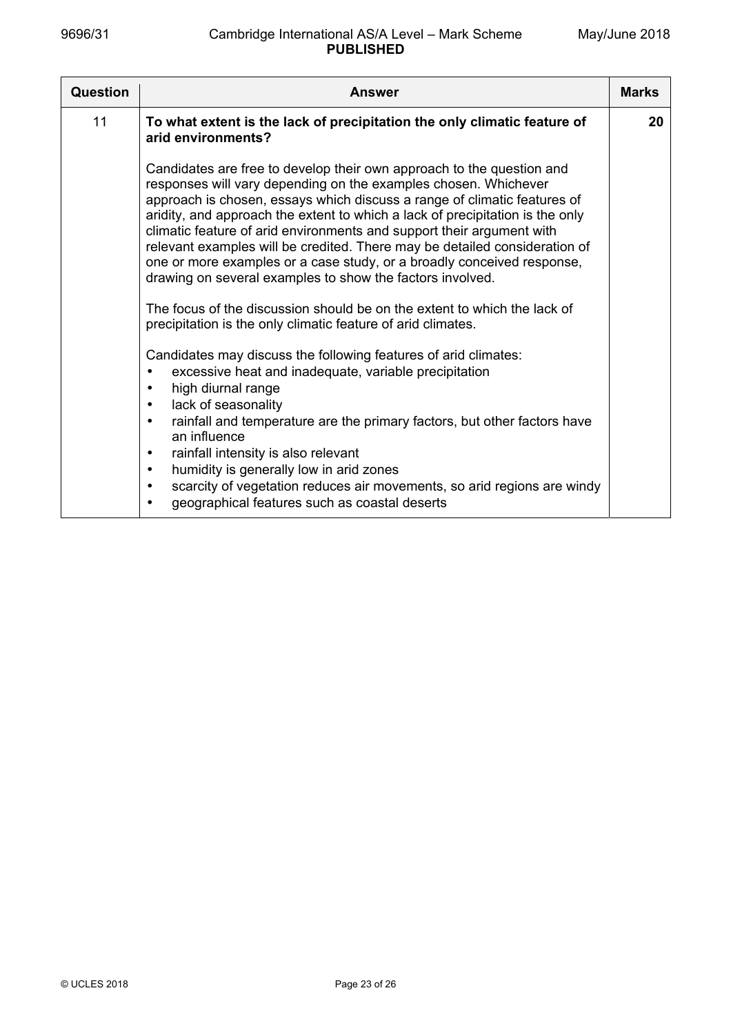| Question | <b>Answer</b>                                                                                                                                                                                                                                                                                                                                                                                                                                                                                                                                                                                                                                                                                                                                   | <b>Marks</b> |
|----------|-------------------------------------------------------------------------------------------------------------------------------------------------------------------------------------------------------------------------------------------------------------------------------------------------------------------------------------------------------------------------------------------------------------------------------------------------------------------------------------------------------------------------------------------------------------------------------------------------------------------------------------------------------------------------------------------------------------------------------------------------|--------------|
| 11       | To what extent is the lack of precipitation the only climatic feature of<br>arid environments?                                                                                                                                                                                                                                                                                                                                                                                                                                                                                                                                                                                                                                                  | 20           |
|          | Candidates are free to develop their own approach to the question and<br>responses will vary depending on the examples chosen. Whichever<br>approach is chosen, essays which discuss a range of climatic features of<br>aridity, and approach the extent to which a lack of precipitation is the only<br>climatic feature of arid environments and support their argument with<br>relevant examples will be credited. There may be detailed consideration of<br>one or more examples or a case study, or a broadly conceived response,<br>drawing on several examples to show the factors involved.<br>The focus of the discussion should be on the extent to which the lack of<br>precipitation is the only climatic feature of arid climates. |              |
|          | Candidates may discuss the following features of arid climates:<br>excessive heat and inadequate, variable precipitation<br>high diurnal range<br>lack of seasonality<br>$\bullet$<br>rainfall and temperature are the primary factors, but other factors have<br>$\bullet$<br>an influence<br>rainfall intensity is also relevant<br>$\bullet$<br>humidity is generally low in arid zones<br>$\bullet$<br>scarcity of vegetation reduces air movements, so arid regions are windy<br>$\bullet$<br>geographical features such as coastal deserts<br>$\bullet$                                                                                                                                                                                   |              |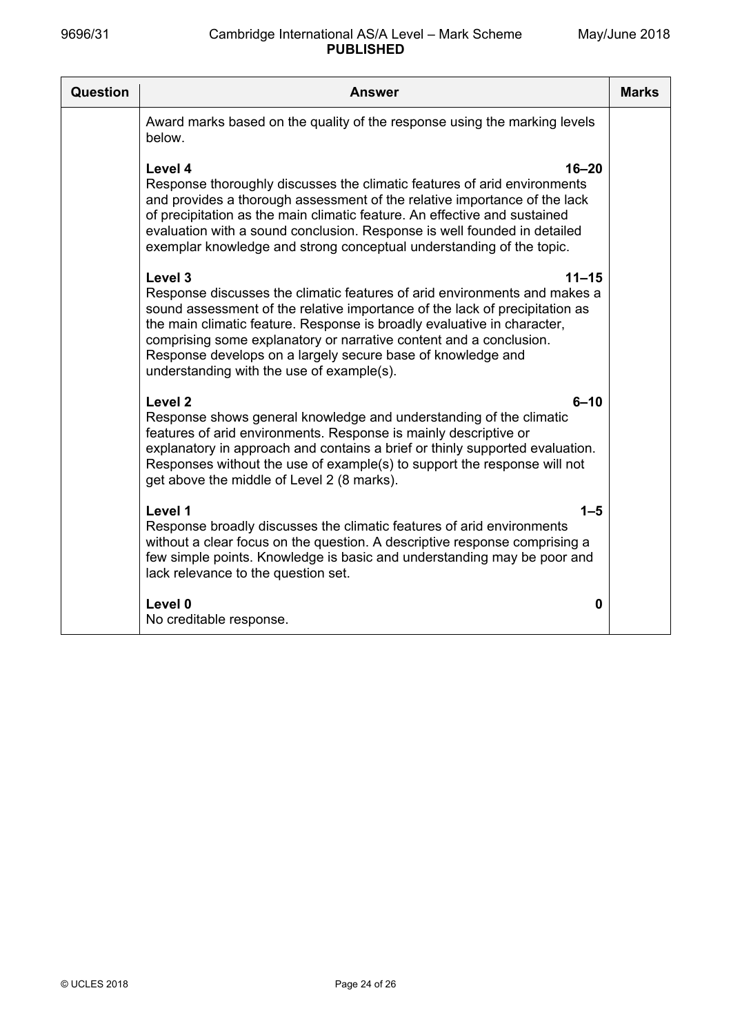| Question | Answer                                                                                                                                                                                                                                                                                                                                                                                                                                        | <b>Marks</b> |
|----------|-----------------------------------------------------------------------------------------------------------------------------------------------------------------------------------------------------------------------------------------------------------------------------------------------------------------------------------------------------------------------------------------------------------------------------------------------|--------------|
|          | Award marks based on the quality of the response using the marking levels<br>below.                                                                                                                                                                                                                                                                                                                                                           |              |
|          | Level 4<br>$16 - 20$<br>Response thoroughly discusses the climatic features of arid environments<br>and provides a thorough assessment of the relative importance of the lack<br>of precipitation as the main climatic feature. An effective and sustained<br>evaluation with a sound conclusion. Response is well founded in detailed<br>exemplar knowledge and strong conceptual understanding of the topic.                                |              |
|          | Level 3<br>$11 - 15$<br>Response discusses the climatic features of arid environments and makes a<br>sound assessment of the relative importance of the lack of precipitation as<br>the main climatic feature. Response is broadly evaluative in character,<br>comprising some explanatory or narrative content and a conclusion.<br>Response develops on a largely secure base of knowledge and<br>understanding with the use of example(s). |              |
|          | Level 2<br>$6 - 10$<br>Response shows general knowledge and understanding of the climatic<br>features of arid environments. Response is mainly descriptive or<br>explanatory in approach and contains a brief or thinly supported evaluation.<br>Responses without the use of example(s) to support the response will not<br>get above the middle of Level 2 (8 marks).                                                                       |              |
|          | Level 1<br>$1 - 5$<br>Response broadly discusses the climatic features of arid environments<br>without a clear focus on the question. A descriptive response comprising a<br>few simple points. Knowledge is basic and understanding may be poor and<br>lack relevance to the question set.                                                                                                                                                   |              |
|          | Level 0<br>0<br>No creditable response.                                                                                                                                                                                                                                                                                                                                                                                                       |              |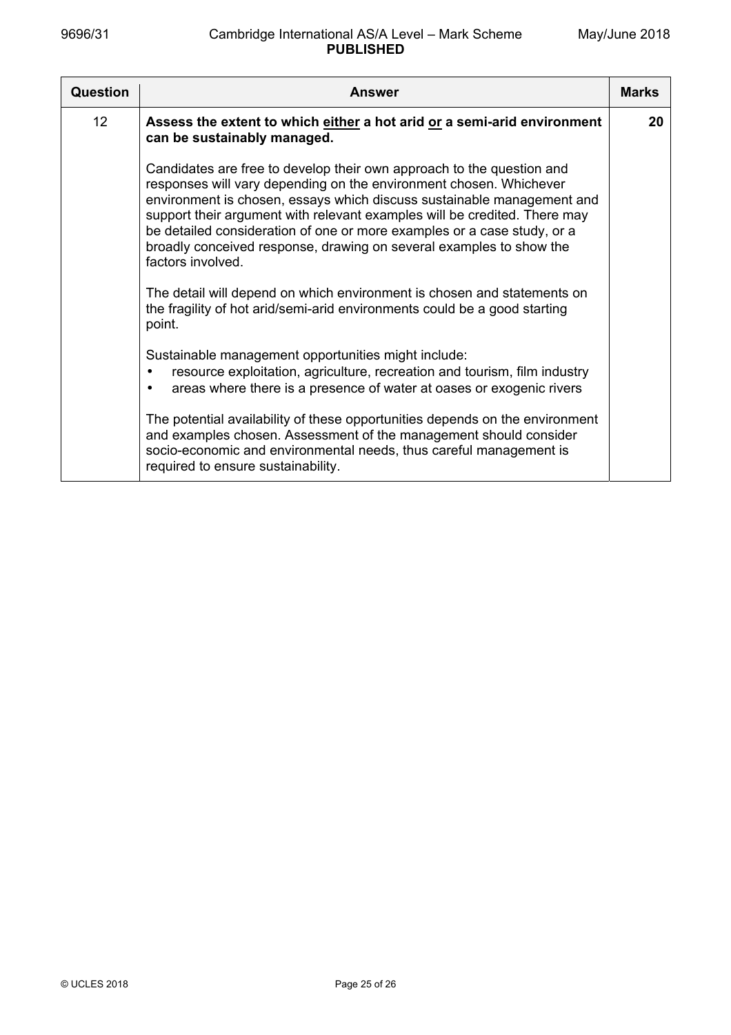| Question        | Answer                                                                                                                                                                                                                                                                                                                                                                                                                                                                    | <b>Marks</b> |
|-----------------|---------------------------------------------------------------------------------------------------------------------------------------------------------------------------------------------------------------------------------------------------------------------------------------------------------------------------------------------------------------------------------------------------------------------------------------------------------------------------|--------------|
| 12 <sup>2</sup> | Assess the extent to which either a hot arid or a semi-arid environment<br>can be sustainably managed.                                                                                                                                                                                                                                                                                                                                                                    | 20           |
|                 | Candidates are free to develop their own approach to the question and<br>responses will vary depending on the environment chosen. Whichever<br>environment is chosen, essays which discuss sustainable management and<br>support their argument with relevant examples will be credited. There may<br>be detailed consideration of one or more examples or a case study, or a<br>broadly conceived response, drawing on several examples to show the<br>factors involved. |              |
|                 | The detail will depend on which environment is chosen and statements on<br>the fragility of hot arid/semi-arid environments could be a good starting<br>point.                                                                                                                                                                                                                                                                                                            |              |
|                 | Sustainable management opportunities might include:<br>resource exploitation, agriculture, recreation and tourism, film industry<br>$\bullet$<br>areas where there is a presence of water at oases or exogenic rivers                                                                                                                                                                                                                                                     |              |
|                 | The potential availability of these opportunities depends on the environment<br>and examples chosen. Assessment of the management should consider<br>socio-economic and environmental needs, thus careful management is<br>required to ensure sustainability.                                                                                                                                                                                                             |              |